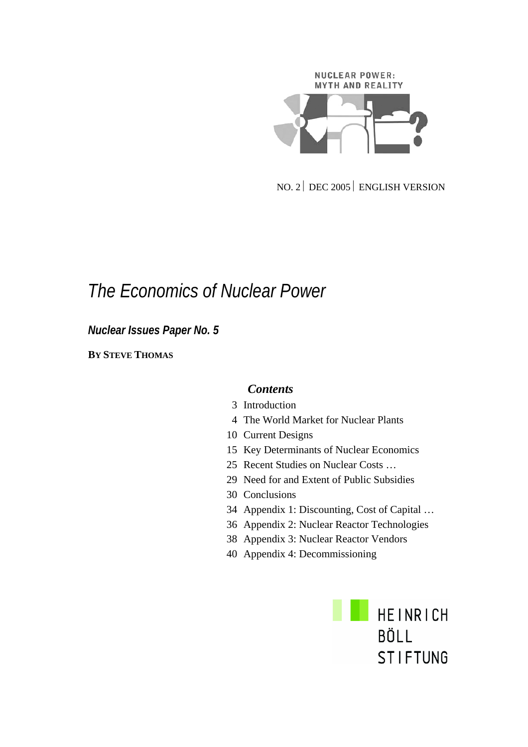# NUCLEAR POWER: **MYTH AND REALITY**

NO. 2⏐ DEC 2005⏐ ENGLISH VERSION

## *The Economics of Nuclear Power*

*Nuclear Issues Paper No. 5* 

**BY STEVE THOMAS**

#### *Contents*

- 3 Introduction
- 4 The World Market for Nuclear Plants
- 10 Current Designs
- 15 Key Determinants of Nuclear Economics
- 25 Recent Studies on Nuclear Costs …
- 29 Need for and Extent of Public Subsidies
- 30 Conclusions
- 34 Appendix 1: Discounting, Cost of Capital …
- 36 Appendix 2: Nuclear Reactor Technologies
- 38 Appendix 3: Nuclear Reactor Vendors
- 40 Appendix 4: Decommissioning

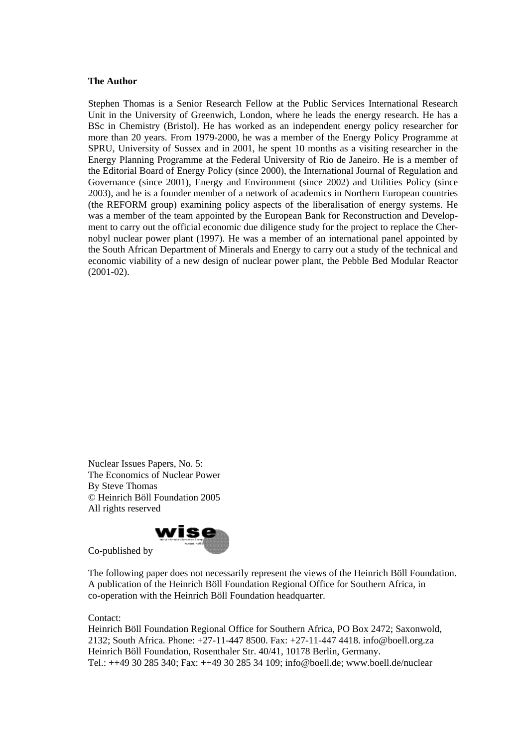#### **The Author**

Stephen Thomas is a Senior Research Fellow at the Public Services International Research Unit in the University of Greenwich, London, where he leads the energy research. He has a BSc in Chemistry (Bristol). He has worked as an independent energy policy researcher for more than 20 years. From 1979-2000, he was a member of the Energy Policy Programme at SPRU, University of Sussex and in 2001, he spent 10 months as a visiting researcher in the Energy Planning Programme at the Federal University of Rio de Janeiro. He is a member of the Editorial Board of Energy Policy (since 2000), the International Journal of Regulation and Governance (since 2001), Energy and Environment (since 2002) and Utilities Policy (since 2003), and he is a founder member of a network of academics in Northern European countries (the REFORM group) examining policy aspects of the liberalisation of energy systems. He was a member of the team appointed by the European Bank for Reconstruction and Development to carry out the official economic due diligence study for the project to replace the Chernobyl nuclear power plant (1997). He was a member of an international panel appointed by the South African Department of Minerals and Energy to carry out a study of the technical and economic viability of a new design of nuclear power plant, the Pebble Bed Modular Reactor (2001-02).

Nuclear Issues Papers, No. 5: The Economics of Nuclear Power By Steve Thomas © Heinrich Böll Foundation 2005 All rights reserved



Co-published by

The following paper does not necessarily represent the views of the Heinrich Böll Foundation. A publication of the Heinrich Böll Foundation Regional Office for Southern Africa, in co-operation with the Heinrich Böll Foundation headquarter.

Contact:

Heinrich Böll Foundation Regional Office for Southern Africa, PO Box 2472; Saxonwold, 2132; South Africa. Phone: +27-11-447 8500. Fax: +27-11-447 4418. info@boell.org.za Heinrich Böll Foundation, Rosenthaler Str. 40/41, 10178 Berlin, Germany. Tel.: ++49 30 285 340; Fax: ++49 30 285 34 109; info@boell.de; www.boell.de/nuclear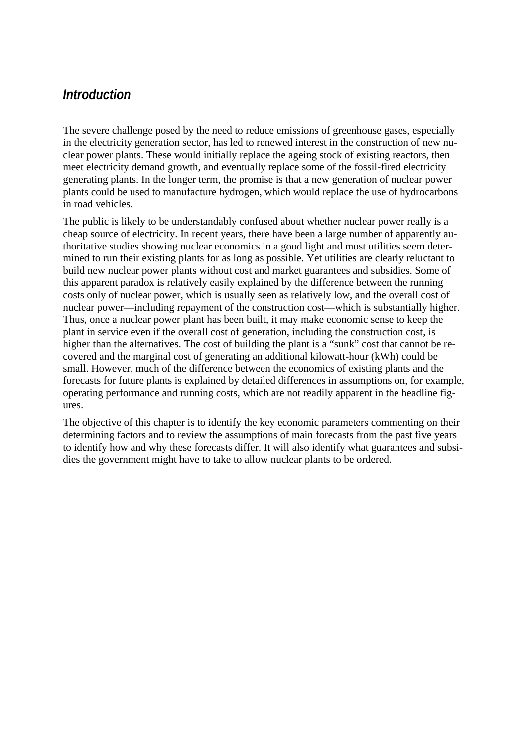### *Introduction*

The severe challenge posed by the need to reduce emissions of greenhouse gases, especially in the electricity generation sector, has led to renewed interest in the construction of new nuclear power plants. These would initially replace the ageing stock of existing reactors, then meet electricity demand growth, and eventually replace some of the fossil-fired electricity generating plants. In the longer term, the promise is that a new generation of nuclear power plants could be used to manufacture hydrogen, which would replace the use of hydrocarbons in road vehicles.

The public is likely to be understandably confused about whether nuclear power really is a cheap source of electricity. In recent years, there have been a large number of apparently authoritative studies showing nuclear economics in a good light and most utilities seem determined to run their existing plants for as long as possible. Yet utilities are clearly reluctant to build new nuclear power plants without cost and market guarantees and subsidies. Some of this apparent paradox is relatively easily explained by the difference between the running costs only of nuclear power, which is usually seen as relatively low, and the overall cost of nuclear power—including repayment of the construction cost—which is substantially higher. Thus, once a nuclear power plant has been built, it may make economic sense to keep the plant in service even if the overall cost of generation, including the construction cost, is higher than the alternatives. The cost of building the plant is a "sunk" cost that cannot be recovered and the marginal cost of generating an additional kilowatt-hour (kWh) could be small. However, much of the difference between the economics of existing plants and the forecasts for future plants is explained by detailed differences in assumptions on, for example, operating performance and running costs, which are not readily apparent in the headline figures.

The objective of this chapter is to identify the key economic parameters commenting on their determining factors and to review the assumptions of main forecasts from the past five years to identify how and why these forecasts differ. It will also identify what guarantees and subsidies the government might have to take to allow nuclear plants to be ordered.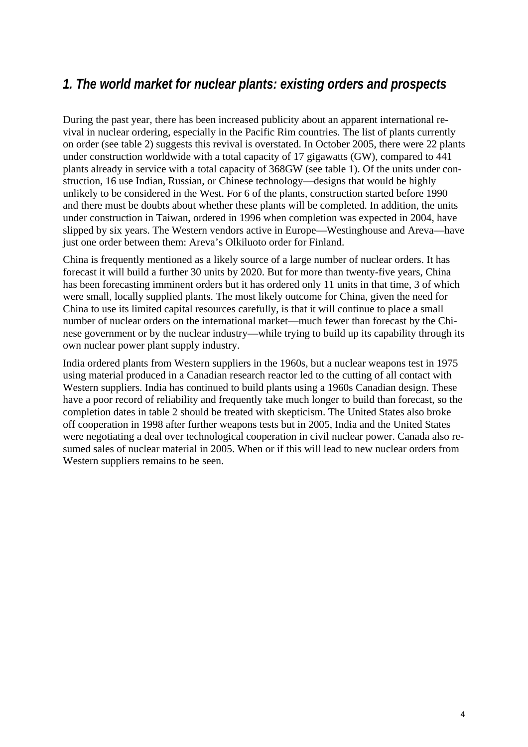## *1. The world market for nuclear plants: existing orders and prospects*

During the past year, there has been increased publicity about an apparent international revival in nuclear ordering, especially in the Pacific Rim countries. The list of plants currently on order (see table 2) suggests this revival is overstated. In October 2005, there were 22 plants under construction worldwide with a total capacity of 17 gigawatts (GW), compared to 441 plants already in service with a total capacity of 368GW (see table 1). Of the units under construction, 16 use Indian, Russian, or Chinese technology—designs that would be highly unlikely to be considered in the West. For 6 of the plants, construction started before 1990 and there must be doubts about whether these plants will be completed. In addition, the units under construction in Taiwan, ordered in 1996 when completion was expected in 2004, have slipped by six years. The Western vendors active in Europe—Westinghouse and Areva—have just one order between them: Areva's Olkiluoto order for Finland.

China is frequently mentioned as a likely source of a large number of nuclear orders. It has forecast it will build a further 30 units by 2020. But for more than twenty-five years, China has been forecasting imminent orders but it has ordered only 11 units in that time, 3 of which were small, locally supplied plants. The most likely outcome for China, given the need for China to use its limited capital resources carefully, is that it will continue to place a small number of nuclear orders on the international market—much fewer than forecast by the Chinese government or by the nuclear industry—while trying to build up its capability through its own nuclear power plant supply industry.

India ordered plants from Western suppliers in the 1960s, but a nuclear weapons test in 1975 using material produced in a Canadian research reactor led to the cutting of all contact with Western suppliers. India has continued to build plants using a 1960s Canadian design. These have a poor record of reliability and frequently take much longer to build than forecast, so the completion dates in table 2 should be treated with skepticism. The United States also broke off cooperation in 1998 after further weapons tests but in 2005, India and the United States were negotiating a deal over technological cooperation in civil nuclear power. Canada also resumed sales of nuclear material in 2005. When or if this will lead to new nuclear orders from Western suppliers remains to be seen.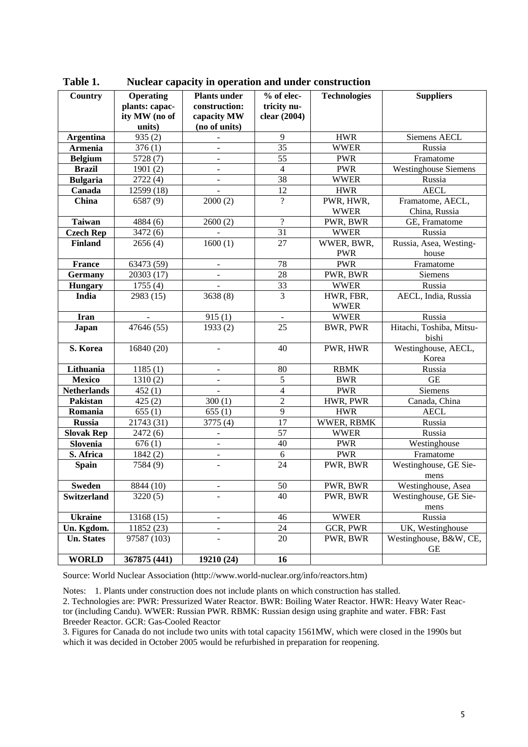| Country            | <b>Operating</b>                | <b>Plants under</b>          | $%$ of elec-    | <b>Technologies</b>               | <b>Suppliers</b>            |
|--------------------|---------------------------------|------------------------------|-----------------|-----------------------------------|-----------------------------|
|                    | plants: capac-<br>ity MW (no of | construction:                | tricity nu-     |                                   |                             |
|                    | units)                          | capacity MW<br>(no of units) | clear (2004)    |                                   |                             |
| <b>Argentina</b>   | 935(2)                          |                              | 9               | <b>HWR</b>                        | Siemens AECL                |
| <b>Armenia</b>     | 376(1)                          |                              | $\overline{35}$ | <b>WWER</b>                       | Russia                      |
|                    | $\overline{57}28(7)$            |                              | 55              | <b>PWR</b>                        |                             |
| <b>Belgium</b>     |                                 |                              |                 |                                   | Framatome                   |
| <b>Brazil</b>      | 1901(2)                         |                              | $\overline{4}$  | <b>PWR</b>                        | <b>Westinghouse Siemens</b> |
| <b>Bulgaria</b>    | 2722(4)                         |                              | 38              | <b>WWER</b>                       | Russia                      |
| Canada             | 12599 (18)                      |                              | 12              | <b>HWR</b>                        | <b>AECL</b>                 |
| China              | 6587 (9)                        | 2000(2)                      | $\overline{?}$  | PWR, HWR,                         | Framatome, AECL,            |
|                    |                                 |                              |                 | <b>WWER</b>                       | China, Russia               |
| <b>Taiwan</b>      | 4884 (6)                        | 2600(2)                      | $\overline{?}$  | PWR, BWR                          | GE, Framatome               |
| <b>Czech Rep</b>   | 3472 (6)                        |                              | 31              | <b>WWER</b>                       | Russia                      |
| <b>Finland</b>     | 2656(4)                         | 1600(1)                      | 27              | WWER, BWR,                        | Russia, Asea, Westing-      |
|                    |                                 |                              |                 | <b>PWR</b>                        | house                       |
| <b>France</b>      | 63473 (59)                      | $\blacksquare$               | 78              | <b>PWR</b>                        | Framatome                   |
| Germany            | 20303 (17)                      | $\blacksquare$               | 28              | PWR, BWR                          | Siemens                     |
| <b>Hungary</b>     | $\overline{1755}$ (4)           |                              | 33              | <b>WWER</b>                       | Russia                      |
| India              | 2983 (15)                       | 3638(8)                      | 3               | HWR, FBR,                         | AECL, India, Russia         |
|                    |                                 |                              |                 | <b>WWER</b>                       |                             |
| <b>Iran</b>        |                                 | 915(1)                       | $\blacksquare$  | <b>WWER</b>                       | Russia                      |
| Japan              | 47646 (55)                      | 1933(2)                      | 25              | <b>BWR, PWR</b>                   | Hitachi, Toshiba, Mitsu-    |
|                    |                                 |                              |                 |                                   | bishi                       |
| S. Korea           | 16840 (20)                      |                              | 40              | PWR, HWR                          | Westinghouse, AECL,         |
|                    |                                 |                              |                 |                                   | Korea                       |
| Lithuania          | 1185(1)                         | $\qquad \qquad \blacksquare$ | 80              | <b>RBMK</b><br>Russia             |                             |
| <b>Mexico</b>      | 1310(2)                         | $\frac{1}{2}$                | $\overline{5}$  | <b>BWR</b>                        | <b>GE</b>                   |
| <b>Netherlands</b> | 452(1)                          |                              | $\overline{4}$  | <b>PWR</b>                        | Siemens                     |
| Pakistan           | 425(2)                          | 300(1)                       | $\overline{2}$  | HWR, PWR                          | Canada, China               |
| Romania            | 655(1)                          | 655(1)                       | $\overline{9}$  | <b>HWR</b>                        | <b>AECL</b>                 |
| <b>Russia</b>      | 21743 (31)                      | 3775 (4)                     | 17              | WWER, RBMK                        | Russia                      |
| <b>Slovak Rep</b>  | 2472 (6)                        | ÷,                           | 57              | <b>WWER</b>                       | Russia                      |
| Slovenia           | 676(1)                          | $\qquad \qquad \blacksquare$ | 40              | <b>PWR</b>                        | Westinghouse                |
| S. Africa          | 1842(2)                         | $\qquad \qquad \blacksquare$ | $\sqrt{6}$      | <b>PWR</b>                        | Framatome                   |
| <b>Spain</b>       | 7584 (9)                        |                              | 24              | PWR, BWR                          | Westinghouse, GE Sie-       |
|                    |                                 |                              |                 |                                   | mens                        |
| Sweden             | 8844 (10)                       | ۰                            | 50              | PWR, BWR                          | Westinghouse, Asea          |
| Switzerland        | 3220(5)                         |                              | 40              | Westinghouse, GE Sie-<br>PWR, BWR |                             |
|                    |                                 |                              |                 |                                   | mens                        |
| <b>Ukraine</b>     | 13168 (15)                      | $\overline{\phantom{0}}$     | 46              | <b>WWER</b>                       | Russia                      |
| Un. Kgdom.         | 11852 (23)                      | -                            | 24              | GCR, PWR                          | UK, Westinghouse            |
| <b>Un. States</b>  | 97587 (103)                     |                              | 20              | PWR, BWR                          | Westinghouse, B&W, CE,      |
|                    |                                 |                              |                 |                                   | GЕ                          |
| <b>WORLD</b>       | 367875 (441)                    | 19210 (24)                   | 16              |                                   |                             |

**Table 1. Nuclear capacity in operation and under construction** 

Source: World Nuclear Association (http://www.world-nuclear.org/info/reactors.htm)

Notes: 1. Plants under construction does not include plants on which construction has stalled. 2. Technologies are: PWR: Pressurized Water Reactor. BWR: Boiling Water Reactor. HWR: Heavy Water Reactor (including Candu). WWER: Russian PWR. RBMK: Russian design using graphite and water. FBR: Fast Breeder Reactor. GCR: Gas-Cooled Reactor

3. Figures for Canada do not include two units with total capacity 1561MW, which were closed in the 1990s but which it was decided in October 2005 would be refurbished in preparation for reopening.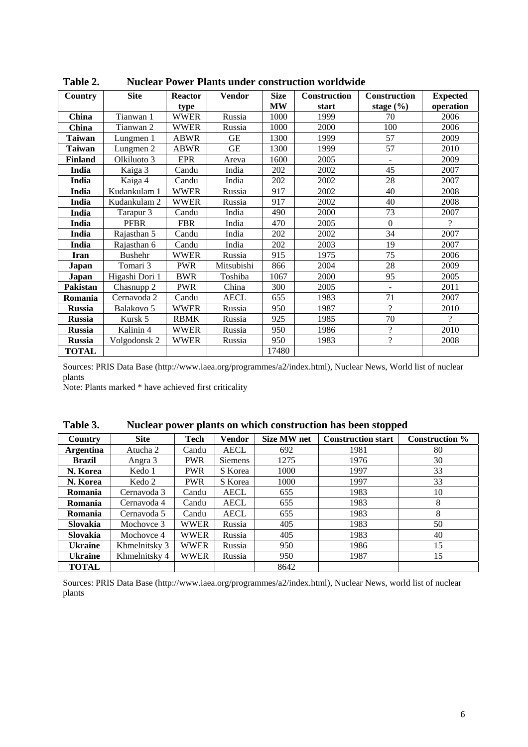| Country        | <b>Site</b>    | <b>Reactor</b> | <b>Vendor</b> | <b>Size</b> | <b>Construction</b> | <b>Construction</b>      | <b>Expected</b> |
|----------------|----------------|----------------|---------------|-------------|---------------------|--------------------------|-----------------|
|                |                | type           |               | <b>MW</b>   | start               | stage $(\% )$            | operation       |
| China          | Tianwan 1      | <b>WWER</b>    | Russia        | 1000        | 1999                | 70                       | 2006            |
| <b>China</b>   | Tianwan 2      | <b>WWER</b>    | Russia        | 1000        | 2000                | 100                      | 2006            |
| <b>Taiwan</b>  | Lungmen 1      | <b>ABWR</b>    | GE            | 1300        | 1999                | 57                       | 2009            |
| <b>Taiwan</b>  | Lungmen 2      | <b>ABWR</b>    | <b>GE</b>     | 1300        | 1999                | 57                       | 2010            |
| <b>Finland</b> | Olkiluoto 3    | <b>EPR</b>     | Areva         | 1600        | 2005                | $\overline{\phantom{0}}$ | 2009            |
| India          | Kaiga 3        | Candu          | India         | 202         | 2002                | 45                       | 2007            |
| India          | Kaiga 4        | Candu          | India         | 202         | 2002                | 28                       | 2007            |
| India          | Kudankulam 1   | <b>WWER</b>    | Russia        | 917         | 2002                | 40                       | 2008            |
| India          | Kudankulam 2   | <b>WWER</b>    | Russia        | 917         | 2002                | 40                       | 2008            |
| India          | Tarapur 3      | Candu          | India         | 490         | 2000                | 73                       | 2007            |
| India          | <b>PFBR</b>    | <b>FBR</b>     | India         | 470         | 2005                | $\theta$                 | $\gamma$        |
| India          | Rajasthan 5    | Candu          | India         | 202         | 2002                | 34                       | 2007            |
| India          | Rajasthan 6    | Candu          | India         | 202         | 2003                | 19                       | 2007            |
| <b>Iran</b>    | <b>Bushehr</b> | WWER           | Russia        | 915         | 1975                | 75                       | 2006            |
| Japan          | Tomari 3       | <b>PWR</b>     | Mitsubishi    | 866         | 2004                | 28                       | 2009            |
| Japan          | Higashi Dori 1 | <b>BWR</b>     | Toshiba       | 1067        | 2000                | 95                       | 2005            |
| Pakistan       | Chasnupp 2     | <b>PWR</b>     | China         | 300         | 2005                | $\overline{\phantom{0}}$ | 2011            |
| Romania        | Cernavoda 2    | Candu          | <b>AECL</b>   | 655         | 1983                | 71                       | 2007            |
| <b>Russia</b>  | Balakovo 5     | <b>WWER</b>    | Russia        | 950         | 1987                | 7                        | 2010            |
| <b>Russia</b>  | Kursk 5        | <b>RBMK</b>    | Russia        | 925         | 1985                | 70                       | 7               |
| <b>Russia</b>  | Kalinin 4      | <b>WWER</b>    | Russia        | 950         | 1986                | 2                        | 2010            |
| <b>Russia</b>  | Volgodonsk 2   | <b>WWER</b>    | Russia        | 950         | 1983                | $\gamma$                 | 2008            |
| <b>TOTAL</b>   |                |                |               | 17480       |                     |                          |                 |

**Table 2. Nuclear Power Plants under construction worldwide** 

Sources: PRIS Data Base (http://www.iaea.org/programmes/a2/index.html), Nuclear News, World list of nuclear plants

Note: Plants marked \* have achieved first criticality

| Country          | <b>Site</b>   | Tech        | <b>Vendor</b> | <b>Size MW net</b> | <b>Construction start</b> | <b>Construction</b> % |
|------------------|---------------|-------------|---------------|--------------------|---------------------------|-----------------------|
| <b>Argentina</b> | Atucha 2      | Candu       | <b>AECL</b>   | 692                | 1981                      | 80                    |
| <b>Brazil</b>    | Angra 3       | <b>PWR</b>  | Siemens       | 1275               | 1976                      | 30                    |
| N. Korea         | Kedo 1        | <b>PWR</b>  | S Korea       | 1000               | 1997                      | 33                    |
| N. Korea         | Kedo 2        | <b>PWR</b>  | S Korea       | 1000               | 1997                      | 33                    |
| Romania          | Cernavoda 3   | Candu       | <b>AECL</b>   | 655                | 1983                      | 10                    |
| Romania          | Cernavoda 4   | Candu       | <b>AECL</b>   | 655                | 1983                      | 8                     |
| Romania          | Cernavoda 5   | Candu       | <b>AECL</b>   | 655                | 1983                      | 8                     |
| Slovakia         | Mochovce 3    | <b>WWER</b> | Russia        | 405                | 1983                      | 50                    |
| Slovakia         | Mochovce 4    | <b>WWER</b> | Russia        | 405                | 1983                      | 40                    |
| <b>Ukraine</b>   | Khmelnitsky 3 | <b>WWER</b> | Russia        | 950                | 1986                      | 15                    |
| <b>Ukraine</b>   | Khmelnitsky 4 | <b>WWER</b> | Russia        | 950                | 1987                      | 15                    |
| <b>TOTAL</b>     |               |             |               | 8642               |                           |                       |

**Table 3. Nuclear power plants on which construction has been stopped** 

Sources: PRIS Data Base (http://www.iaea.org/programmes/a2/index.html), Nuclear News, world list of nuclear plants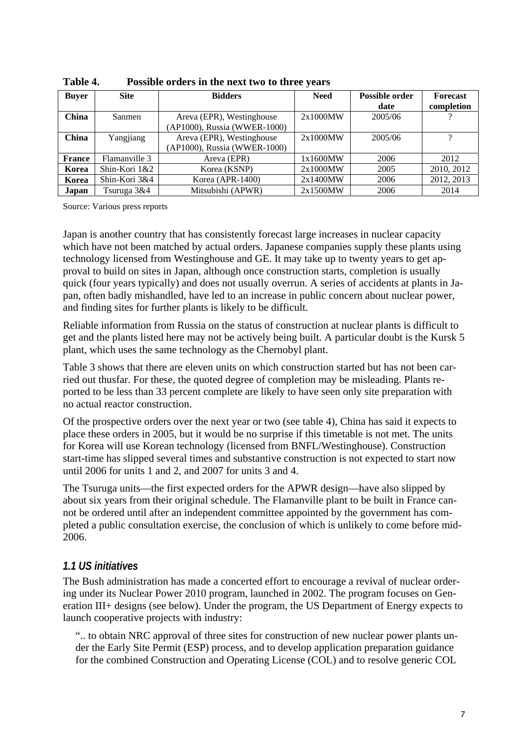| <b>Buyer</b>  | <b>Site</b>   | <b>Bidders</b>                                            | <b>Need</b> | Possible order<br>date | <b>Forecast</b><br>completion |
|---------------|---------------|-----------------------------------------------------------|-------------|------------------------|-------------------------------|
| China         | Sanmen        | Areva (EPR), Westinghouse<br>(AP1000), Russia (WWER-1000) | 2x1000MW    | 2005/06                |                               |
| China         | Yangjiang     | Areva (EPR), Westinghouse<br>(AP1000), Russia (WWER-1000) | 2x1000MW    | 2005/06                | റ                             |
| <b>France</b> | Flamanville 3 | Areva (EPR)                                               | 1x1600MW    | 2006                   | 2012                          |
| Korea         | Shin-Kori 1&2 | Korea (KSNP)                                              | 2x1000MW    | 2005                   | 2010, 2012                    |
| Korea         | Shin-Kori 3&4 | Korea (APR-1400)                                          | 2x1400MW    | 2006                   | 2012, 2013                    |
| Japan         | Tsuruga 3&4   | Mitsubishi (APWR)                                         | 2x1500MW    | 2006                   | 2014                          |

**Table 4. Possible orders in the next two to three years** 

Source: Various press reports

Japan is another country that has consistently forecast large increases in nuclear capacity which have not been matched by actual orders. Japanese companies supply these plants using technology licensed from Westinghouse and GE. It may take up to twenty years to get approval to build on sites in Japan, although once construction starts, completion is usually quick (four years typically) and does not usually overrun. A series of accidents at plants in Japan, often badly mishandled, have led to an increase in public concern about nuclear power, and finding sites for further plants is likely to be difficult.

Reliable information from Russia on the status of construction at nuclear plants is difficult to get and the plants listed here may not be actively being built. A particular doubt is the Kursk 5 plant, which uses the same technology as the Chernobyl plant.

Table 3 shows that there are eleven units on which construction started but has not been carried out thusfar. For these, the quoted degree of completion may be misleading. Plants reported to be less than 33 percent complete are likely to have seen only site preparation with no actual reactor construction.

Of the prospective orders over the next year or two (see table 4), China has said it expects to place these orders in 2005, but it would be no surprise if this timetable is not met. The units for Korea will use Korean technology (licensed from BNFL/Westinghouse). Construction start-time has slipped several times and substantive construction is not expected to start now until 2006 for units 1 and 2, and 2007 for units 3 and 4.

The Tsuruga units—the first expected orders for the APWR design—have also slipped by about six years from their original schedule. The Flamanville plant to be built in France cannot be ordered until after an independent committee appointed by the government has completed a public consultation exercise, the conclusion of which is unlikely to come before mid-2006.

#### *1.1 US initiatives*

The Bush administration has made a concerted effort to encourage a revival of nuclear ordering under its Nuclear Power 2010 program, launched in 2002. The program focuses on Generation III+ designs (see below). Under the program, the US Department of Energy expects to launch cooperative projects with industry:

".. to obtain NRC approval of three sites for construction of new nuclear power plants under the Early Site Permit (ESP) process, and to develop application preparation guidance for the combined Construction and Operating License (COL) and to resolve generic COL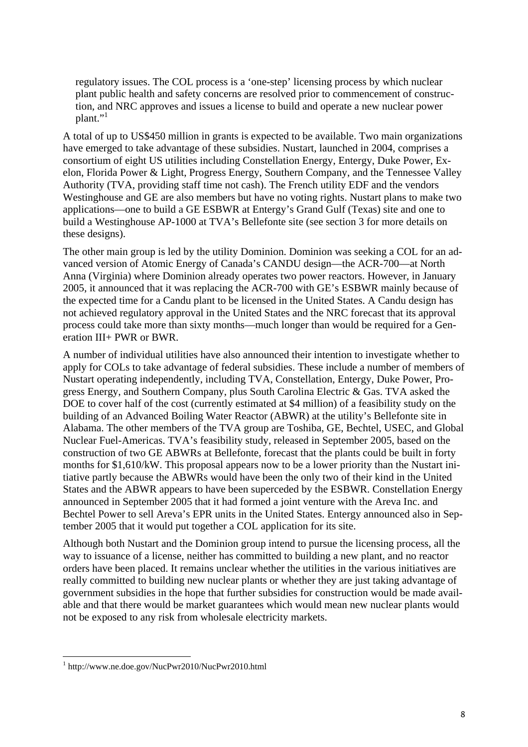regulatory issues. The COL process is a 'one-step' licensing process by which nuclear plant public health and safety concerns are resolved prior to commencement of construction, and NRC approves and issues a license to build and operate a new nuclear power plant."

A total of up to US\$450 million in grants is expected to be available. Two main organizations have emerged to take advantage of these subsidies. Nustart, launched in 2004, comprises a consortium of eight US utilities including Constellation Energy, Entergy, Duke Power, Exelon, Florida Power & Light, Progress Energy, Southern Company, and the Tennessee Valley Authority (TVA, providing staff time not cash). The French utility EDF and the vendors Westinghouse and GE are also members but have no voting rights. Nustart plans to make two applications—one to build a GE ESBWR at Entergy's Grand Gulf (Texas) site and one to build a Westinghouse AP-1000 at TVA's Bellefonte site (see section 3 for more details on these designs).

The other main group is led by the utility Dominion. Dominion was seeking a COL for an advanced version of Atomic Energy of Canada's CANDU design—the ACR-700—at North Anna (Virginia) where Dominion already operates two power reactors. However, in January 2005, it announced that it was replacing the ACR-700 with GE's ESBWR mainly because of the expected time for a Candu plant to be licensed in the United States. A Candu design has not achieved regulatory approval in the United States and the NRC forecast that its approval process could take more than sixty months—much longer than would be required for a Generation III+ PWR or BWR.

A number of individual utilities have also announced their intention to investigate whether to apply for COLs to take advantage of federal subsidies. These include a number of members of Nustart operating independently, including TVA, Constellation, Entergy, Duke Power, Progress Energy, and Southern Company, plus South Carolina Electric & Gas. TVA asked the DOE to cover half of the cost (currently estimated at \$4 million) of a feasibility study on the building of an Advanced Boiling Water Reactor (ABWR) at the utility's Bellefonte site in Alabama. The other members of the TVA group are Toshiba, GE, Bechtel, USEC, and Global Nuclear Fuel-Americas. TVA's feasibility study, released in September 2005, based on the construction of two GE ABWRs at Bellefonte, forecast that the plants could be built in forty months for \$1,610/kW. This proposal appears now to be a lower priority than the Nustart initiative partly because the ABWRs would have been the only two of their kind in the United States and the ABWR appears to have been superceded by the ESBWR. Constellation Energy announced in September 2005 that it had formed a joint venture with the Areva Inc. and Bechtel Power to sell Areva's EPR units in the United States. Entergy announced also in September 2005 that it would put together a COL application for its site.

Although both Nustart and the Dominion group intend to pursue the licensing process, all the way to issuance of a license, neither has committed to building a new plant, and no reactor orders have been placed. It remains unclear whether the utilities in the various initiatives are really committed to building new nuclear plants or whether they are just taking advantage of government subsidies in the hope that further subsidies for construction would be made available and that there would be market guarantees which would mean new nuclear plants would not be exposed to any risk from wholesale electricity markets.

 1 http://www.ne.doe.gov/NucPwr2010/NucPwr2010.html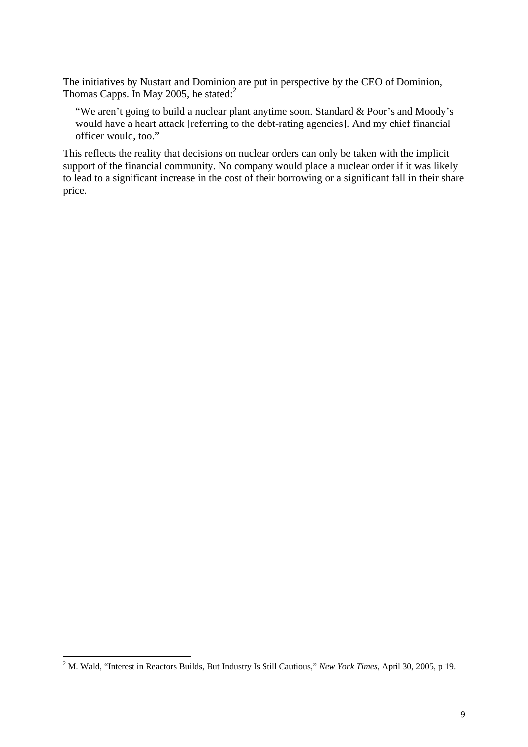The initiatives by Nustart and Dominion are put in perspective by the CEO of Dominion, Thomas Capps. In May 2005, he stated:<sup>2</sup>

"We aren't going to build a nuclear plant anytime soon. Standard & Poor's and Moody's would have a heart attack [referring to the debt-rating agencies]. And my chief financial officer would, too."

This reflects the reality that decisions on nuclear orders can only be taken with the implicit support of the financial community. No company would place a nuclear order if it was likely to lead to a significant increase in the cost of their borrowing or a significant fall in their share price.

 2 M. Wald, "Interest in Reactors Builds, But Industry Is Still Cautious," *New York Times,* April 30, 2005, p 19.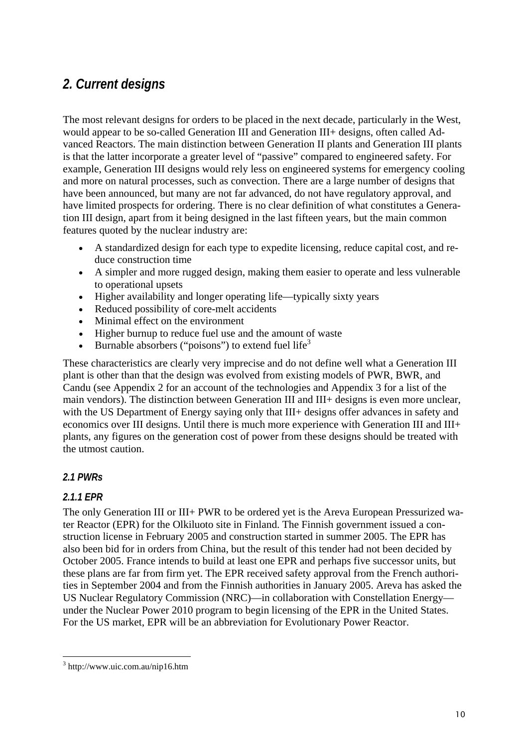## *2. Current designs*

The most relevant designs for orders to be placed in the next decade, particularly in the West, would appear to be so-called Generation III and Generation III+ designs, often called Advanced Reactors. The main distinction between Generation II plants and Generation III plants is that the latter incorporate a greater level of "passive" compared to engineered safety. For example, Generation III designs would rely less on engineered systems for emergency cooling and more on natural processes, such as convection. There are a large number of designs that have been announced, but many are not far advanced, do not have regulatory approval, and have limited prospects for ordering. There is no clear definition of what constitutes a Generation III design, apart from it being designed in the last fifteen years, but the main common features quoted by the nuclear industry are:

- A standardized design for each type to expedite licensing, reduce capital cost, and reduce construction time
- A simpler and more rugged design, making them easier to operate and less vulnerable to operational upsets
- Higher availability and longer operating life—typically sixty years
- Reduced possibility of core-melt accidents
- Minimal effect on the environment
- Higher burnup to reduce fuel use and the amount of waste
- Burnable absorbers ("poisons") to extend fuel life<sup>3</sup>

These characteristics are clearly very imprecise and do not define well what a Generation III plant is other than that the design was evolved from existing models of PWR, BWR, and Candu (see Appendix 2 for an account of the technologies and Appendix 3 for a list of the main vendors). The distinction between Generation III and III+ designs is even more unclear, with the US Department of Energy saying only that III+ designs offer advances in safety and economics over III designs. Until there is much more experience with Generation III and III+ plants, any figures on the generation cost of power from these designs should be treated with the utmost caution.

#### *2.1 PWRs*

#### *2.1.1 EPR*

The only Generation III or III+ PWR to be ordered yet is the Areva European Pressurized water Reactor (EPR) for the Olkiluoto site in Finland. The Finnish government issued a construction license in February 2005 and construction started in summer 2005. The EPR has also been bid for in orders from China, but the result of this tender had not been decided by October 2005. France intends to build at least one EPR and perhaps five successor units, but these plans are far from firm yet. The EPR received safety approval from the French authorities in September 2004 and from the Finnish authorities in January 2005. Areva has asked the US Nuclear Regulatory Commission (NRC)—in collaboration with Constellation Energy under the Nuclear Power 2010 program to begin licensing of the EPR in the United States. For the US market, EPR will be an abbreviation for Evolutionary Power Reactor.

l 3 http://www.uic.com.au/nip16.htm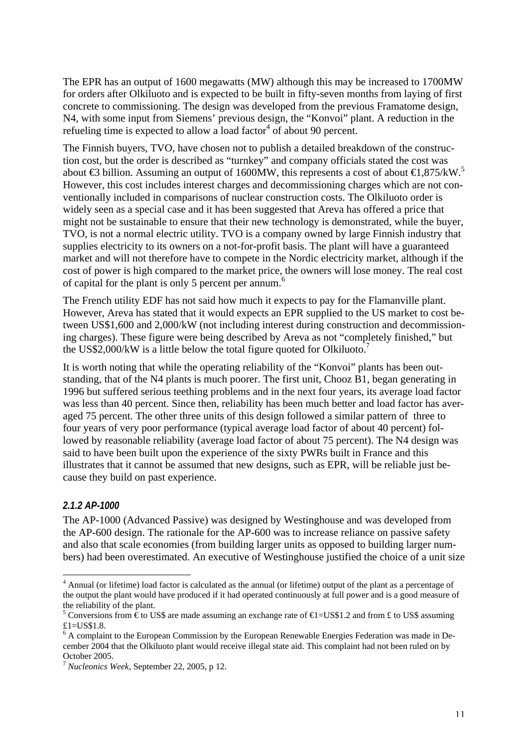The EPR has an output of 1600 megawatts (MW) although this may be increased to 1700MW for orders after Olkiluoto and is expected to be built in fifty-seven months from laying of first concrete to commissioning. The design was developed from the previous Framatome design, N4, with some input from Siemens' previous design, the "Konvoi" plant. A reduction in the refueling time is expected to allow a load factor<sup>4</sup> of about 90 percent.

The Finnish buyers, TVO, have chosen not to publish a detailed breakdown of the construction cost, but the order is described as "turnkey" and company officials stated the cost was about **€3** billion. Assuming an output of 1600MW, this represents a cost of about  $\text{€1,875/kW}$ .<sup>5</sup> However, this cost includes interest charges and decommissioning charges which are not conventionally included in comparisons of nuclear construction costs. The Olkiluoto order is widely seen as a special case and it has been suggested that Areva has offered a price that might not be sustainable to ensure that their new technology is demonstrated, while the buyer, TVO, is not a normal electric utility. TVO is a company owned by large Finnish industry that supplies electricity to its owners on a not-for-profit basis. The plant will have a guaranteed market and will not therefore have to compete in the Nordic electricity market, although if the cost of power is high compared to the market price, the owners will lose money. The real cost of capital for the plant is only 5 percent per annum.<sup>6</sup>

The French utility EDF has not said how much it expects to pay for the Flamanville plant. However, Areva has stated that it would expects an EPR supplied to the US market to cost between US\$1,600 and 2,000/kW (not including interest during construction and decommissioning charges). These figure were being described by Areva as not "completely finished," but the US\$2,000/kW is a little below the total figure quoted for Olkiluoto.<sup>7</sup>

It is worth noting that while the operating reliability of the "Konvoi" plants has been outstanding, that of the N4 plants is much poorer. The first unit, Chooz B1, began generating in 1996 but suffered serious teething problems and in the next four years, its average load factor was less than 40 percent. Since then, reliability has been much better and load factor has averaged 75 percent. The other three units of this design followed a similar pattern of three to four years of very poor performance (typical average load factor of about 40 percent) followed by reasonable reliability (average load factor of about 75 percent). The N4 design was said to have been built upon the experience of the sixty PWRs built in France and this illustrates that it cannot be assumed that new designs, such as EPR, will be reliable just because they build on past experience.

#### *2.1.2 AP-1000*

l

The AP-1000 (Advanced Passive) was designed by Westinghouse and was developed from the AP-600 design. The rationale for the AP-600 was to increase reliance on passive safety and also that scale economies (from building larger units as opposed to building larger numbers) had been overestimated. An executive of Westinghouse justified the choice of a unit size

<sup>&</sup>lt;sup>4</sup> Annual (or lifetime) load factor is calculated as the annual (or lifetime) output of the plant as a percentage of the output the plant would have produced if it had operated continuously at full power and is a good measure of the reliability of the plant.

<sup>&</sup>lt;sup>5</sup> Conversions from  $\epsilon$  to US\$ are made assuming an exchange rate of  $\epsilon$ I=US\$1.2 and from £ to US\$ assuming  $£1=US$1.8.$ 

<sup>&</sup>lt;sup>6</sup> A complaint to the European Commission by the European Renewable Energies Federation was made in December 2004 that the Olkiluoto plant would receive illegal state aid. This complaint had not been ruled on by October 2005.

<sup>7</sup> *Nucleonics Week,* September 22, 2005, p 12.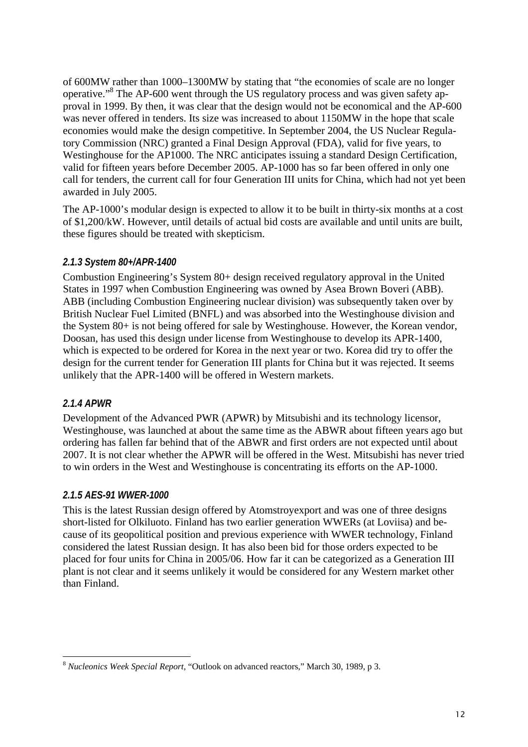of 600MW rather than 1000–1300MW by stating that "the economies of scale are no longer operative."<sup>8</sup> The AP-600 went through the US regulatory process and was given safety approval in 1999. By then, it was clear that the design would not be economical and the AP-600 was never offered in tenders. Its size was increased to about 1150MW in the hope that scale economies would make the design competitive. In September 2004, the US Nuclear Regulatory Commission (NRC) granted a Final Design Approval (FDA), valid for five years, to Westinghouse for the AP1000. The NRC anticipates issuing a standard Design Certification, valid for fifteen years before December 2005. AP-1000 has so far been offered in only one call for tenders, the current call for four Generation III units for China, which had not yet been awarded in July 2005.

The AP-1000's modular design is expected to allow it to be built in thirty-six months at a cost of \$1,200/kW. However, until details of actual bid costs are available and until units are built, these figures should be treated with skepticism.

#### *2.1.3 System 80+/APR-1400*

Combustion Engineering's System 80+ design received regulatory approval in the United States in 1997 when Combustion Engineering was owned by Asea Brown Boveri (ABB). ABB (including Combustion Engineering nuclear division) was subsequently taken over by British Nuclear Fuel Limited (BNFL) and was absorbed into the Westinghouse division and the System 80+ is not being offered for sale by Westinghouse. However, the Korean vendor, Doosan, has used this design under license from Westinghouse to develop its APR-1400, which is expected to be ordered for Korea in the next year or two. Korea did try to offer the design for the current tender for Generation III plants for China but it was rejected. It seems unlikely that the APR-1400 will be offered in Western markets.

#### *2.1.4 APWR*

Development of the Advanced PWR (APWR) by Mitsubishi and its technology licensor, Westinghouse, was launched at about the same time as the ABWR about fifteen years ago but ordering has fallen far behind that of the ABWR and first orders are not expected until about 2007. It is not clear whether the APWR will be offered in the West. Mitsubishi has never tried to win orders in the West and Westinghouse is concentrating its efforts on the AP-1000.

#### *2.1.5 AES-91 WWER-1000*

This is the latest Russian design offered by Atomstroyexport and was one of three designs short-listed for Olkiluoto. Finland has two earlier generation WWERs (at Loviisa) and because of its geopolitical position and previous experience with WWER technology, Finland considered the latest Russian design. It has also been bid for those orders expected to be placed for four units for China in 2005/06. How far it can be categorized as a Generation III plant is not clear and it seems unlikely it would be considered for any Western market other than Finland.

l <sup>8</sup> *Nucleonics Week Special Report,* "Outlook on advanced reactors," March 30, 1989, p 3.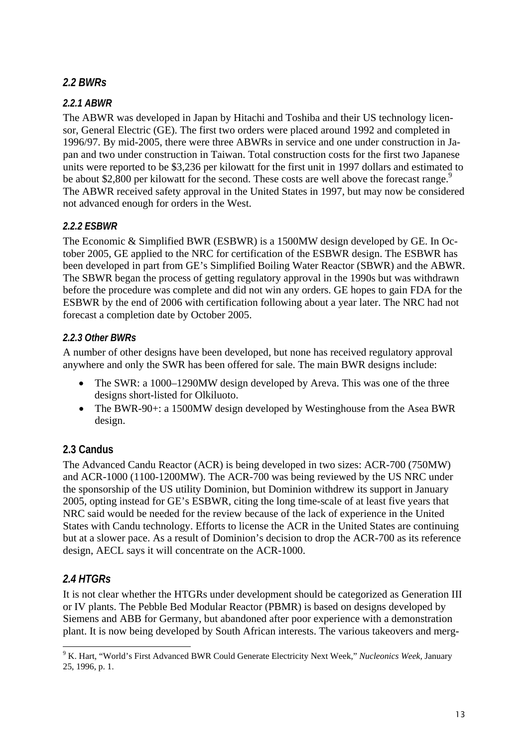#### *2.2 BWRs*

#### *2.2.1 ABWR*

The ABWR was developed in Japan by Hitachi and Toshiba and their US technology licensor, General Electric (GE). The first two orders were placed around 1992 and completed in 1996/97. By mid-2005, there were three ABWRs in service and one under construction in Japan and two under construction in Taiwan. Total construction costs for the first two Japanese units were reported to be \$3,236 per kilowatt for the first unit in 1997 dollars and estimated to be about \$2,800 per kilowatt for the second. These costs are well above the forecast range.<sup>9</sup> The ABWR received safety approval in the United States in 1997, but may now be considered not advanced enough for orders in the West.

#### *2.2.2 ESBWR*

The Economic & Simplified BWR (ESBWR) is a 1500MW design developed by GE. In October 2005, GE applied to the NRC for certification of the ESBWR design. The ESBWR has been developed in part from GE's Simplified Boiling Water Reactor (SBWR) and the ABWR. The SBWR began the process of getting regulatory approval in the 1990s but was withdrawn before the procedure was complete and did not win any orders. GE hopes to gain FDA for the ESBWR by the end of 2006 with certification following about a year later. The NRC had not forecast a completion date by October 2005.

#### *2.2.3 Other BWRs*

A number of other designs have been developed, but none has received regulatory approval anywhere and only the SWR has been offered for sale. The main BWR designs include:

- The SWR: a 1000–1290MW design developed by Areva. This was one of the three designs short-listed for Olkiluoto.
- The BWR-90+: a 1500MW design developed by Westinghouse from the Asea BWR design.

#### **2.3 Candus**

The Advanced Candu Reactor (ACR) is being developed in two sizes: ACR-700 (750MW) and ACR-1000 (1100-1200MW). The ACR-700 was being reviewed by the US NRC under the sponsorship of the US utility Dominion, but Dominion withdrew its support in January 2005, opting instead for GE's ESBWR, citing the long time-scale of at least five years that NRC said would be needed for the review because of the lack of experience in the United States with Candu technology. Efforts to license the ACR in the United States are continuing but at a slower pace. As a result of Dominion's decision to drop the ACR-700 as its reference design, AECL says it will concentrate on the ACR-1000.

#### *2.4 HTGRs*

It is not clear whether the HTGRs under development should be categorized as Generation III or IV plants. The Pebble Bed Modular Reactor (PBMR) is based on designs developed by Siemens and ABB for Germany, but abandoned after poor experience with a demonstration plant. It is now being developed by South African interests. The various takeovers and merg-

l 9 K. Hart, "World's First Advanced BWR Could Generate Electricity Next Week," *Nucleonics Week,* January 25, 1996, p. 1.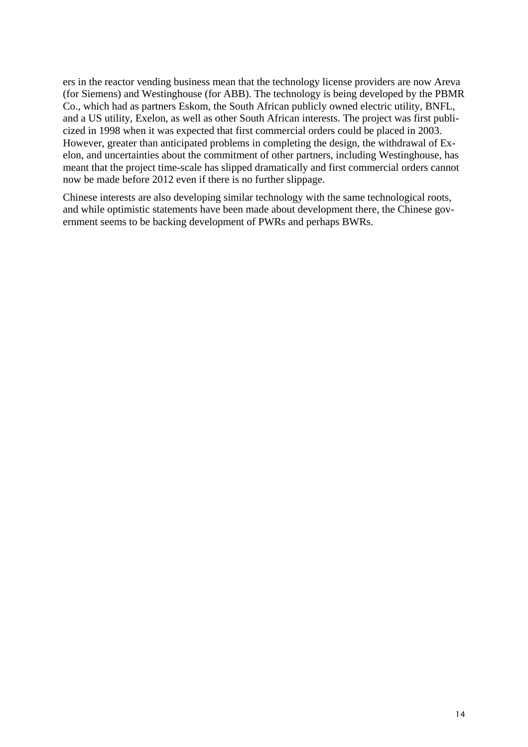ers in the reactor vending business mean that the technology license providers are now Areva (for Siemens) and Westinghouse (for ABB). The technology is being developed by the PBMR Co., which had as partners Eskom, the South African publicly owned electric utility, BNFL, and a US utility, Exelon, as well as other South African interests. The project was first publicized in 1998 when it was expected that first commercial orders could be placed in 2003. However, greater than anticipated problems in completing the design, the withdrawal of Exelon, and uncertainties about the commitment of other partners, including Westinghouse, has meant that the project time-scale has slipped dramatically and first commercial orders cannot now be made before 2012 even if there is no further slippage.

Chinese interests are also developing similar technology with the same technological roots, and while optimistic statements have been made about development there, the Chinese government seems to be backing development of PWRs and perhaps BWRs.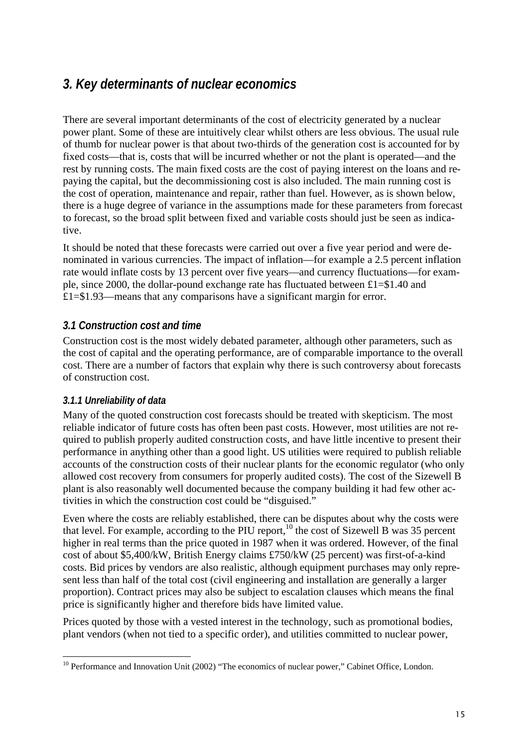## *3. Key determinants of nuclear economics*

There are several important determinants of the cost of electricity generated by a nuclear power plant. Some of these are intuitively clear whilst others are less obvious. The usual rule of thumb for nuclear power is that about two-thirds of the generation cost is accounted for by fixed costs—that is, costs that will be incurred whether or not the plant is operated—and the rest by running costs. The main fixed costs are the cost of paying interest on the loans and repaying the capital, but the decommissioning cost is also included. The main running cost is the cost of operation, maintenance and repair, rather than fuel. However, as is shown below, there is a huge degree of variance in the assumptions made for these parameters from forecast to forecast, so the broad split between fixed and variable costs should just be seen as indicative.

It should be noted that these forecasts were carried out over a five year period and were denominated in various currencies. The impact of inflation—for example a 2.5 percent inflation rate would inflate costs by 13 percent over five years—and currency fluctuations—for example, since 2000, the dollar-pound exchange rate has fluctuated between £1=\$1.40 and £1=\$1.93—means that any comparisons have a significant margin for error.

#### *3.1 Construction cost and time*

Construction cost is the most widely debated parameter, although other parameters, such as the cost of capital and the operating performance, are of comparable importance to the overall cost. There are a number of factors that explain why there is such controversy about forecasts of construction cost.

#### *3.1.1 Unreliability of data*

Many of the quoted construction cost forecasts should be treated with skepticism. The most reliable indicator of future costs has often been past costs. However, most utilities are not required to publish properly audited construction costs, and have little incentive to present their performance in anything other than a good light. US utilities were required to publish reliable accounts of the construction costs of their nuclear plants for the economic regulator (who only allowed cost recovery from consumers for properly audited costs). The cost of the Sizewell B plant is also reasonably well documented because the company building it had few other activities in which the construction cost could be "disguised."

Even where the costs are reliably established, there can be disputes about why the costs were that level. For example, according to the PIU report,  $^{10}$  the cost of Sizewell B was 35 percent higher in real terms than the price quoted in 1987 when it was ordered. However, of the final cost of about \$5,400/kW, British Energy claims £750/kW (25 percent) was first-of-a-kind costs. Bid prices by vendors are also realistic, although equipment purchases may only represent less than half of the total cost (civil engineering and installation are generally a larger proportion). Contract prices may also be subject to escalation clauses which means the final price is significantly higher and therefore bids have limited value.

Prices quoted by those with a vested interest in the technology, such as promotional bodies, plant vendors (when not tied to a specific order), and utilities committed to nuclear power,

l <sup>10</sup> Performance and Innovation Unit (2002) "The economics of nuclear power," Cabinet Office, London.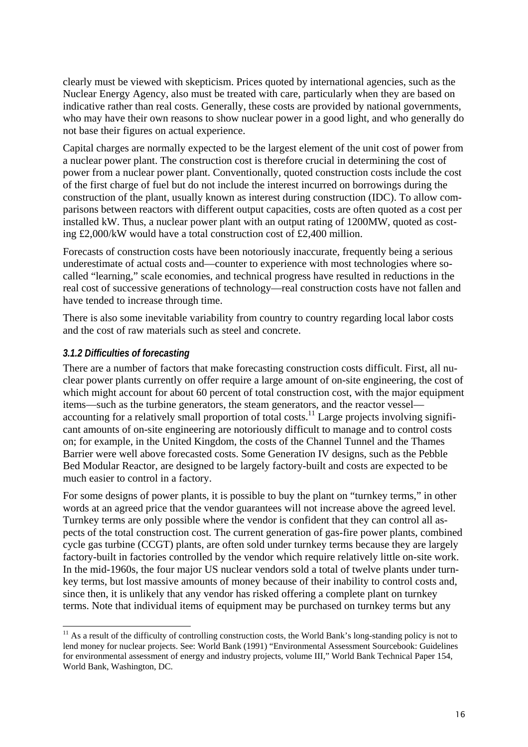clearly must be viewed with skepticism. Prices quoted by international agencies, such as the Nuclear Energy Agency, also must be treated with care, particularly when they are based on indicative rather than real costs. Generally, these costs are provided by national governments, who may have their own reasons to show nuclear power in a good light, and who generally do not base their figures on actual experience.

Capital charges are normally expected to be the largest element of the unit cost of power from a nuclear power plant. The construction cost is therefore crucial in determining the cost of power from a nuclear power plant. Conventionally, quoted construction costs include the cost of the first charge of fuel but do not include the interest incurred on borrowings during the construction of the plant, usually known as interest during construction (IDC). To allow comparisons between reactors with different output capacities, costs are often quoted as a cost per installed kW. Thus, a nuclear power plant with an output rating of 1200MW, quoted as costing £2,000/kW would have a total construction cost of £2,400 million.

Forecasts of construction costs have been notoriously inaccurate, frequently being a serious underestimate of actual costs and—counter to experience with most technologies where socalled "learning," scale economies, and technical progress have resulted in reductions in the real cost of successive generations of technology—real construction costs have not fallen and have tended to increase through time.

There is also some inevitable variability from country to country regarding local labor costs and the cost of raw materials such as steel and concrete.

#### *3.1.2 Difficulties of forecasting*

There are a number of factors that make forecasting construction costs difficult. First, all nuclear power plants currently on offer require a large amount of on-site engineering, the cost of which might account for about 60 percent of total construction cost, with the major equipment items—such as the turbine generators, the steam generators, and the reactor vessel accounting for a relatively small proportion of total costs.<sup>11</sup> Large projects involving significant amounts of on-site engineering are notoriously difficult to manage and to control costs on; for example, in the United Kingdom, the costs of the Channel Tunnel and the Thames Barrier were well above forecasted costs. Some Generation IV designs, such as the Pebble Bed Modular Reactor, are designed to be largely factory-built and costs are expected to be much easier to control in a factory.

For some designs of power plants, it is possible to buy the plant on "turnkey terms," in other words at an agreed price that the vendor guarantees will not increase above the agreed level. Turnkey terms are only possible where the vendor is confident that they can control all aspects of the total construction cost. The current generation of gas-fire power plants, combined cycle gas turbine (CCGT) plants, are often sold under turnkey terms because they are largely factory-built in factories controlled by the vendor which require relatively little on-site work. In the mid-1960s, the four major US nuclear vendors sold a total of twelve plants under turnkey terms, but lost massive amounts of money because of their inability to control costs and, since then, it is unlikely that any vendor has risked offering a complete plant on turnkey terms. Note that individual items of equipment may be purchased on turnkey terms but any

l  $11$  As a result of the difficulty of controlling construction costs, the World Bank's long-standing policy is not to lend money for nuclear projects. See: World Bank (1991) "Environmental Assessment Sourcebook: Guidelines for environmental assessment of energy and industry projects, volume III," World Bank Technical Paper 154, World Bank, Washington, DC.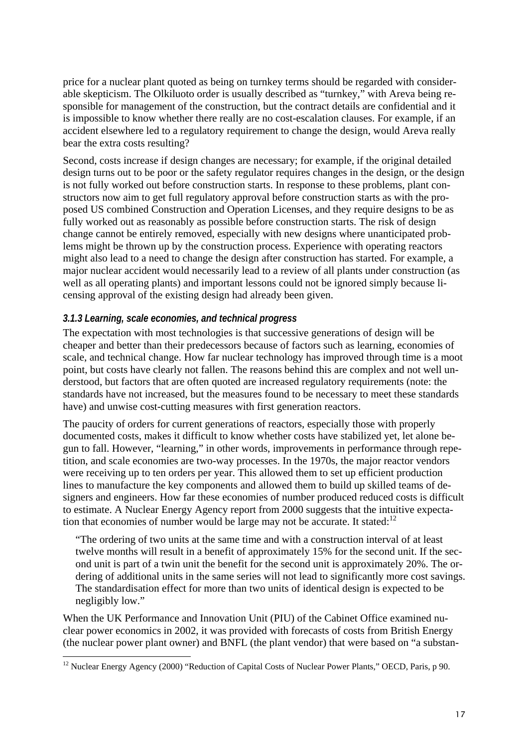price for a nuclear plant quoted as being on turnkey terms should be regarded with considerable skepticism. The Olkiluoto order is usually described as "turnkey," with Areva being responsible for management of the construction, but the contract details are confidential and it is impossible to know whether there really are no cost-escalation clauses. For example, if an accident elsewhere led to a regulatory requirement to change the design, would Areva really bear the extra costs resulting?

Second, costs increase if design changes are necessary; for example, if the original detailed design turns out to be poor or the safety regulator requires changes in the design, or the design is not fully worked out before construction starts. In response to these problems, plant constructors now aim to get full regulatory approval before construction starts as with the proposed US combined Construction and Operation Licenses, and they require designs to be as fully worked out as reasonably as possible before construction starts. The risk of design change cannot be entirely removed, especially with new designs where unanticipated problems might be thrown up by the construction process. Experience with operating reactors might also lead to a need to change the design after construction has started. For example, a major nuclear accident would necessarily lead to a review of all plants under construction (as well as all operating plants) and important lessons could not be ignored simply because licensing approval of the existing design had already been given.

#### *3.1.3 Learning, scale economies, and technical progress*

The expectation with most technologies is that successive generations of design will be cheaper and better than their predecessors because of factors such as learning, economies of scale, and technical change. How far nuclear technology has improved through time is a moot point, but costs have clearly not fallen. The reasons behind this are complex and not well understood, but factors that are often quoted are increased regulatory requirements (note: the standards have not increased, but the measures found to be necessary to meet these standards have) and unwise cost-cutting measures with first generation reactors.

The paucity of orders for current generations of reactors, especially those with properly documented costs, makes it difficult to know whether costs have stabilized yet, let alone begun to fall. However, "learning," in other words, improvements in performance through repetition, and scale economies are two-way processes. In the 1970s, the major reactor vendors were receiving up to ten orders per year. This allowed them to set up efficient production lines to manufacture the key components and allowed them to build up skilled teams of designers and engineers. How far these economies of number produced reduced costs is difficult to estimate. A Nuclear Energy Agency report from 2000 suggests that the intuitive expectation that economies of number would be large may not be accurate. It stated: $12$ 

"The ordering of two units at the same time and with a construction interval of at least twelve months will result in a benefit of approximately 15% for the second unit. If the second unit is part of a twin unit the benefit for the second unit is approximately 20%. The ordering of additional units in the same series will not lead to significantly more cost savings. The standardisation effect for more than two units of identical design is expected to be negligibly low."

When the UK Performance and Innovation Unit (PIU) of the Cabinet Office examined nuclear power economics in 2002, it was provided with forecasts of costs from British Energy (the nuclear power plant owner) and BNFL (the plant vendor) that were based on "a substan-

l  $12$  Nuclear Energy Agency (2000) "Reduction of Capital Costs of Nuclear Power Plants," OECD, Paris, p 90.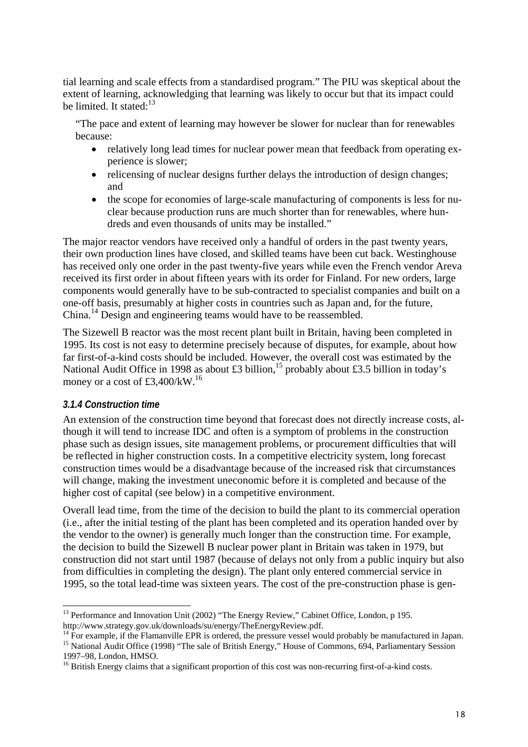tial learning and scale effects from a standardised program." The PIU was skeptical about the extent of learning, acknowledging that learning was likely to occur but that its impact could be limited. It stated: $13$ 

"The pace and extent of learning may however be slower for nuclear than for renewables because:

- relatively long lead times for nuclear power mean that feedback from operating experience is slower;
- relicensing of nuclear designs further delays the introduction of design changes: and
- the scope for economies of large-scale manufacturing of components is less for nuclear because production runs are much shorter than for renewables, where hundreds and even thousands of units may be installed."

The major reactor vendors have received only a handful of orders in the past twenty years, their own production lines have closed, and skilled teams have been cut back. Westinghouse has received only one order in the past twenty-five years while even the French vendor Areva received its first order in about fifteen years with its order for Finland. For new orders, large components would generally have to be sub-contracted to specialist companies and built on a one-off basis, presumably at higher costs in countries such as Japan and, for the future, China.14 Design and engineering teams would have to be reassembled.

The Sizewell B reactor was the most recent plant built in Britain, having been completed in 1995. Its cost is not easy to determine precisely because of disputes, for example, about how far first-of-a-kind costs should be included. However, the overall cost was estimated by the National Audit Office in 1998 as about £3 billion,<sup>15</sup> probably about £3.5 billion in today's money or a cost of £3,400/kW.<sup>16</sup>

#### *3.1.4 Construction time*

An extension of the construction time beyond that forecast does not directly increase costs, although it will tend to increase IDC and often is a symptom of problems in the construction phase such as design issues, site management problems, or procurement difficulties that will be reflected in higher construction costs. In a competitive electricity system, long forecast construction times would be a disadvantage because of the increased risk that circumstances will change, making the investment uneconomic before it is completed and because of the higher cost of capital (see below) in a competitive environment.

Overall lead time, from the time of the decision to build the plant to its commercial operation (i.e., after the initial testing of the plant has been completed and its operation handed over by the vendor to the owner) is generally much longer than the construction time. For example, the decision to build the Sizewell B nuclear power plant in Britain was taken in 1979, but construction did not start until 1987 (because of delays not only from a public inquiry but also from difficulties in completing the design). The plant only entered commercial service in 1995, so the total lead-time was sixteen years. The cost of the pre-construction phase is gen-

l <sup>13</sup> Performance and Innovation Unit (2002) "The Energy Review," Cabinet Office, London, p 195.<br>http://www.strategy.gov.uk/downloads/su/energy/TheEnergyReview.pdf.

<sup>&</sup>lt;sup>14</sup> For example, if the Flamanville EPR is ordered, the pressure vessel would probably be manufactured in Japan.<br><sup>15</sup> National Audit Office (1998) "The sale of British Energy," House of Commons, 694, Parliamentary Sessio

<sup>1997–98,</sup> London, HMSO.

<sup>&</sup>lt;sup>16</sup> British Energy claims that a significant proportion of this cost was non-recurring first-of-a-kind costs.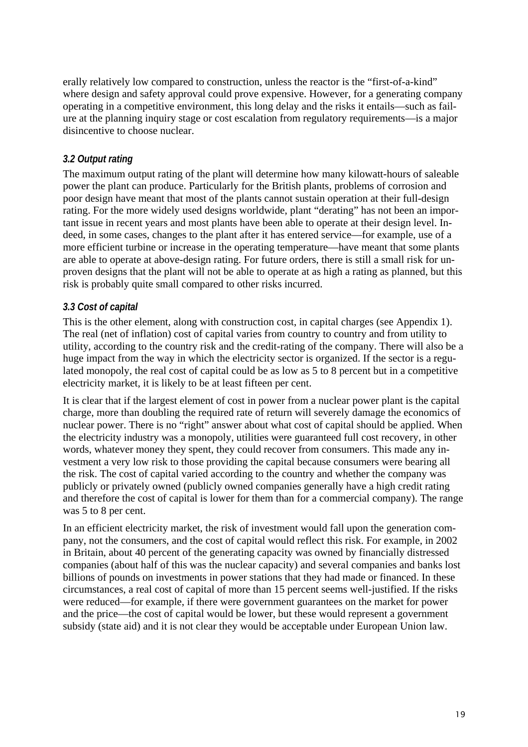erally relatively low compared to construction, unless the reactor is the "first-of-a-kind" where design and safety approval could prove expensive. However, for a generating company operating in a competitive environment, this long delay and the risks it entails—such as failure at the planning inquiry stage or cost escalation from regulatory requirements—is a major disincentive to choose nuclear.

#### *3.2 Output rating*

The maximum output rating of the plant will determine how many kilowatt-hours of saleable power the plant can produce. Particularly for the British plants, problems of corrosion and poor design have meant that most of the plants cannot sustain operation at their full-design rating. For the more widely used designs worldwide, plant "derating" has not been an important issue in recent years and most plants have been able to operate at their design level. Indeed, in some cases, changes to the plant after it has entered service—for example, use of a more efficient turbine or increase in the operating temperature—have meant that some plants are able to operate at above-design rating. For future orders, there is still a small risk for unproven designs that the plant will not be able to operate at as high a rating as planned, but this risk is probably quite small compared to other risks incurred.

#### *3.3 Cost of capital*

This is the other element, along with construction cost, in capital charges (see Appendix 1). The real (net of inflation) cost of capital varies from country to country and from utility to utility, according to the country risk and the credit-rating of the company. There will also be a huge impact from the way in which the electricity sector is organized. If the sector is a regulated monopoly, the real cost of capital could be as low as 5 to 8 percent but in a competitive electricity market, it is likely to be at least fifteen per cent.

It is clear that if the largest element of cost in power from a nuclear power plant is the capital charge, more than doubling the required rate of return will severely damage the economics of nuclear power. There is no "right" answer about what cost of capital should be applied. When the electricity industry was a monopoly, utilities were guaranteed full cost recovery, in other words, whatever money they spent, they could recover from consumers. This made any investment a very low risk to those providing the capital because consumers were bearing all the risk. The cost of capital varied according to the country and whether the company was publicly or privately owned (publicly owned companies generally have a high credit rating and therefore the cost of capital is lower for them than for a commercial company). The range was 5 to 8 per cent.

In an efficient electricity market, the risk of investment would fall upon the generation company, not the consumers, and the cost of capital would reflect this risk. For example, in 2002 in Britain, about 40 percent of the generating capacity was owned by financially distressed companies (about half of this was the nuclear capacity) and several companies and banks lost billions of pounds on investments in power stations that they had made or financed. In these circumstances, a real cost of capital of more than 15 percent seems well-justified. If the risks were reduced—for example, if there were government guarantees on the market for power and the price—the cost of capital would be lower, but these would represent a government subsidy (state aid) and it is not clear they would be acceptable under European Union law.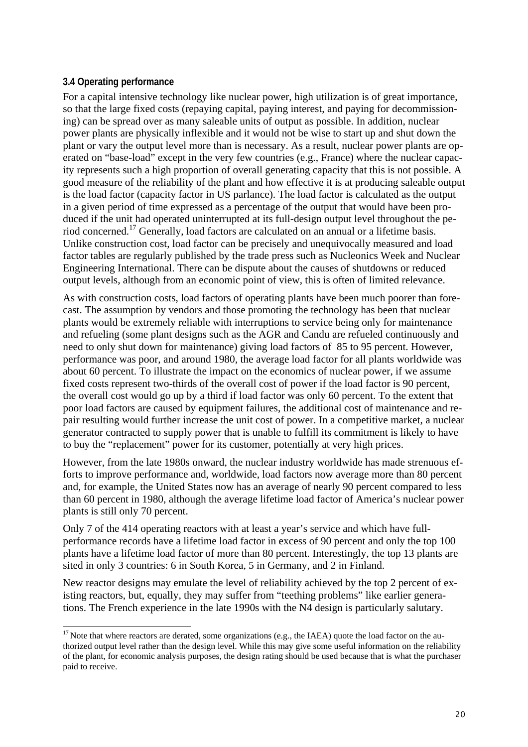#### **3.4 Operating performance**

l

For a capital intensive technology like nuclear power, high utilization is of great importance, so that the large fixed costs (repaying capital, paying interest, and paying for decommissioning) can be spread over as many saleable units of output as possible. In addition, nuclear power plants are physically inflexible and it would not be wise to start up and shut down the plant or vary the output level more than is necessary. As a result, nuclear power plants are operated on "base-load" except in the very few countries (e.g., France) where the nuclear capacity represents such a high proportion of overall generating capacity that this is not possible. A good measure of the reliability of the plant and how effective it is at producing saleable output is the load factor (capacity factor in US parlance). The load factor is calculated as the output in a given period of time expressed as a percentage of the output that would have been produced if the unit had operated uninterrupted at its full-design output level throughout the period concerned.17 Generally, load factors are calculated on an annual or a lifetime basis. Unlike construction cost, load factor can be precisely and unequivocally measured and load factor tables are regularly published by the trade press such as Nucleonics Week and Nuclear Engineering International. There can be dispute about the causes of shutdowns or reduced output levels, although from an economic point of view, this is often of limited relevance.

As with construction costs, load factors of operating plants have been much poorer than forecast. The assumption by vendors and those promoting the technology has been that nuclear plants would be extremely reliable with interruptions to service being only for maintenance and refueling (some plant designs such as the AGR and Candu are refueled continuously and need to only shut down for maintenance) giving load factors of 85 to 95 percent. However, performance was poor, and around 1980, the average load factor for all plants worldwide was about 60 percent. To illustrate the impact on the economics of nuclear power, if we assume fixed costs represent two-thirds of the overall cost of power if the load factor is 90 percent, the overall cost would go up by a third if load factor was only 60 percent. To the extent that poor load factors are caused by equipment failures, the additional cost of maintenance and repair resulting would further increase the unit cost of power. In a competitive market, a nuclear generator contracted to supply power that is unable to fulfill its commitment is likely to have to buy the "replacement" power for its customer, potentially at very high prices.

However, from the late 1980s onward, the nuclear industry worldwide has made strenuous efforts to improve performance and, worldwide, load factors now average more than 80 percent and, for example, the United States now has an average of nearly 90 percent compared to less than 60 percent in 1980, although the average lifetime load factor of America's nuclear power plants is still only 70 percent.

Only 7 of the 414 operating reactors with at least a year's service and which have fullperformance records have a lifetime load factor in excess of 90 percent and only the top 100 plants have a lifetime load factor of more than 80 percent. Interestingly, the top 13 plants are sited in only 3 countries: 6 in South Korea, 5 in Germany, and 2 in Finland.

New reactor designs may emulate the level of reliability achieved by the top 2 percent of existing reactors, but, equally, they may suffer from "teething problems" like earlier generations. The French experience in the late 1990s with the N4 design is particularly salutary.

 $17$  Note that where reactors are derated, some organizations (e.g., the IAEA) quote the load factor on the authorized output level rather than the design level. While this may give some useful information on the reliability of the plant, for economic analysis purposes, the design rating should be used because that is what the purchaser paid to receive.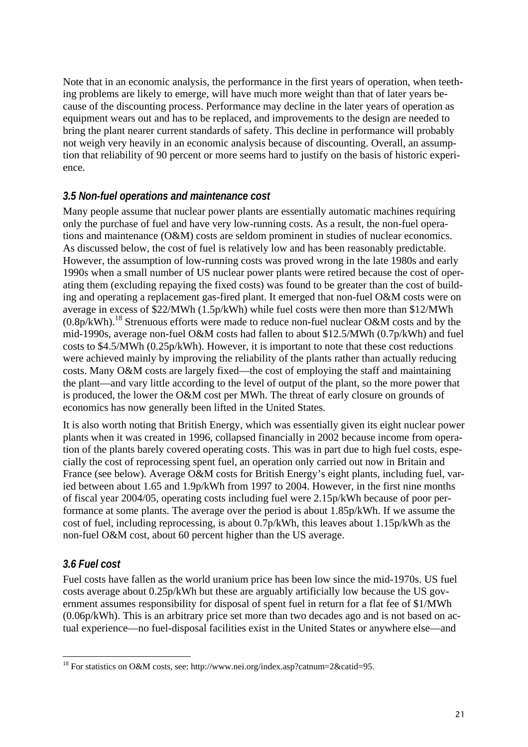Note that in an economic analysis, the performance in the first years of operation, when teething problems are likely to emerge, will have much more weight than that of later years because of the discounting process. Performance may decline in the later years of operation as equipment wears out and has to be replaced, and improvements to the design are needed to bring the plant nearer current standards of safety. This decline in performance will probably not weigh very heavily in an economic analysis because of discounting. Overall, an assumption that reliability of 90 percent or more seems hard to justify on the basis of historic experience.

#### *3.5 Non-fuel operations and maintenance cost*

Many people assume that nuclear power plants are essentially automatic machines requiring only the purchase of fuel and have very low-running costs. As a result, the non-fuel operations and maintenance (O&M) costs are seldom prominent in studies of nuclear economics. As discussed below, the cost of fuel is relatively low and has been reasonably predictable. However, the assumption of low-running costs was proved wrong in the late 1980s and early 1990s when a small number of US nuclear power plants were retired because the cost of operating them (excluding repaying the fixed costs) was found to be greater than the cost of building and operating a replacement gas-fired plant. It emerged that non-fuel O&M costs were on average in excess of \$22/MWh (1.5p/kWh) while fuel costs were then more than \$12/MWh  $(0.8p/kWh)$ .<sup>18</sup> Strenuous efforts were made to reduce non-fuel nuclear O&M costs and by the mid-1990s, average non-fuel O&M costs had fallen to about \$12.5/MWh (0.7p/kWh) and fuel costs to \$4.5/MWh (0.25p/kWh). However, it is important to note that these cost reductions were achieved mainly by improving the reliability of the plants rather than actually reducing costs. Many O&M costs are largely fixed—the cost of employing the staff and maintaining the plant—and vary little according to the level of output of the plant, so the more power that is produced, the lower the O&M cost per MWh. The threat of early closure on grounds of economics has now generally been lifted in the United States.

It is also worth noting that British Energy, which was essentially given its eight nuclear power plants when it was created in 1996, collapsed financially in 2002 because income from operation of the plants barely covered operating costs. This was in part due to high fuel costs, especially the cost of reprocessing spent fuel, an operation only carried out now in Britain and France (see below). Average O&M costs for British Energy's eight plants, including fuel, varied between about 1.65 and 1.9p/kWh from 1997 to 2004. However, in the first nine months of fiscal year 2004/05, operating costs including fuel were 2.15p/kWh because of poor performance at some plants. The average over the period is about 1.85p/kWh. If we assume the cost of fuel, including reprocessing, is about 0.7p/kWh, this leaves about 1.15p/kWh as the non-fuel O&M cost, about 60 percent higher than the US average.

#### *3.6 Fuel cost*

Fuel costs have fallen as the world uranium price has been low since the mid-1970s. US fuel costs average about 0.25p/kWh but these are arguably artificially low because the US government assumes responsibility for disposal of spent fuel in return for a flat fee of \$1/MWh  $(0.06p/kWh)$ . This is an arbitrary price set more than two decades ago and is not based on actual experience—no fuel-disposal facilities exist in the United States or anywhere else—and

l <sup>18</sup> For statistics on O&M costs, see: http://www.nei.org/index.asp?catnum=2&catid=95.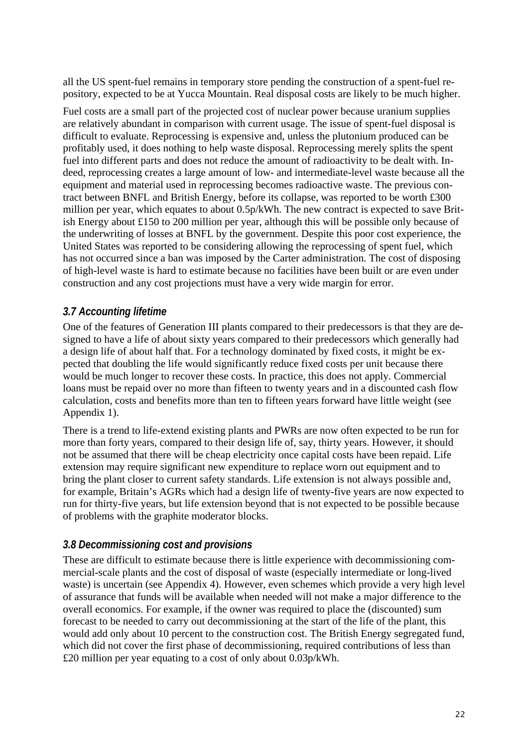all the US spent-fuel remains in temporary store pending the construction of a spent-fuel repository, expected to be at Yucca Mountain. Real disposal costs are likely to be much higher.

Fuel costs are a small part of the projected cost of nuclear power because uranium supplies are relatively abundant in comparison with current usage. The issue of spent-fuel disposal is difficult to evaluate. Reprocessing is expensive and, unless the plutonium produced can be profitably used, it does nothing to help waste disposal. Reprocessing merely splits the spent fuel into different parts and does not reduce the amount of radioactivity to be dealt with. Indeed, reprocessing creates a large amount of low- and intermediate-level waste because all the equipment and material used in reprocessing becomes radioactive waste. The previous contract between BNFL and British Energy, before its collapse, was reported to be worth £300 million per year, which equates to about 0.5p/kWh. The new contract is expected to save British Energy about £150 to 200 million per year, although this will be possible only because of the underwriting of losses at BNFL by the government. Despite this poor cost experience, the United States was reported to be considering allowing the reprocessing of spent fuel, which has not occurred since a ban was imposed by the Carter administration. The cost of disposing of high-level waste is hard to estimate because no facilities have been built or are even under construction and any cost projections must have a very wide margin for error.

#### *3.7 Accounting lifetime*

One of the features of Generation III plants compared to their predecessors is that they are designed to have a life of about sixty years compared to their predecessors which generally had a design life of about half that. For a technology dominated by fixed costs, it might be expected that doubling the life would significantly reduce fixed costs per unit because there would be much longer to recover these costs. In practice, this does not apply. Commercial loans must be repaid over no more than fifteen to twenty years and in a discounted cash flow calculation, costs and benefits more than ten to fifteen years forward have little weight (see Appendix 1).

There is a trend to life-extend existing plants and PWRs are now often expected to be run for more than forty years, compared to their design life of, say, thirty years. However, it should not be assumed that there will be cheap electricity once capital costs have been repaid. Life extension may require significant new expenditure to replace worn out equipment and to bring the plant closer to current safety standards. Life extension is not always possible and, for example, Britain's AGRs which had a design life of twenty-five years are now expected to run for thirty-five years, but life extension beyond that is not expected to be possible because of problems with the graphite moderator blocks.

#### *3.8 Decommissioning cost and provisions*

These are difficult to estimate because there is little experience with decommissioning commercial-scale plants and the cost of disposal of waste (especially intermediate or long-lived waste) is uncertain (see Appendix 4). However, even schemes which provide a very high level of assurance that funds will be available when needed will not make a major difference to the overall economics. For example, if the owner was required to place the (discounted) sum forecast to be needed to carry out decommissioning at the start of the life of the plant, this would add only about 10 percent to the construction cost. The British Energy segregated fund, which did not cover the first phase of decommissioning, required contributions of less than £20 million per year equating to a cost of only about 0.03p/kWh.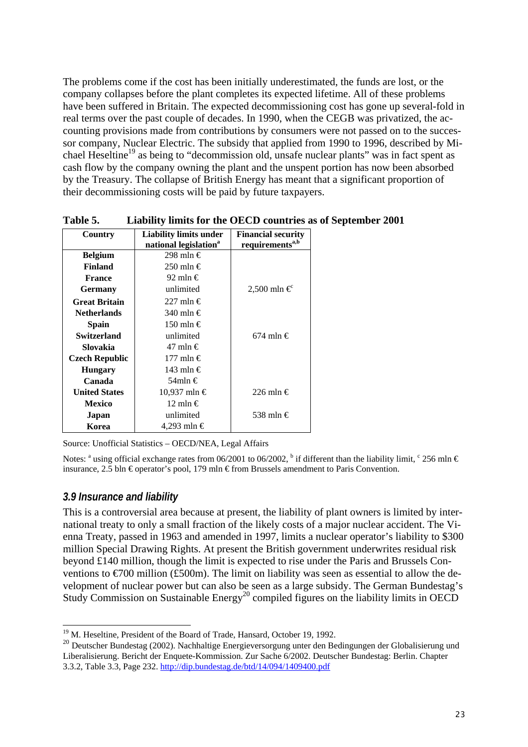The problems come if the cost has been initially underestimated, the funds are lost, or the company collapses before the plant completes its expected lifetime. All of these problems have been suffered in Britain. The expected decommissioning cost has gone up several-fold in real terms over the past couple of decades. In 1990, when the CEGB was privatized, the accounting provisions made from contributions by consumers were not passed on to the successor company, Nuclear Electric. The subsidy that applied from 1990 to 1996, described by Michael Heseltine<sup>19</sup> as being to "decommission old, unsafe nuclear plants" was in fact spent as cash flow by the company owning the plant and the unspent portion has now been absorbed by the Treasury. The collapse of British Energy has meant that a significant proportion of their decommissioning costs will be paid by future taxpayers.

| Country               | Liability limits under            | <b>Financial security</b>   |
|-----------------------|-----------------------------------|-----------------------------|
|                       | national legislation <sup>a</sup> | requirements <sup>a,b</sup> |
| <b>Belgium</b>        | 298 mln €                         |                             |
| <b>Finland</b>        | 250 mln €                         |                             |
| <b>France</b>         | 92 mln €                          |                             |
| <b>Germany</b>        | unlimited                         | 2,500 mln €                 |
| <b>Great Britain</b>  | 227 mln €                         |                             |
| <b>Netherlands</b>    | 340 mln $\in$                     |                             |
| Spain                 | 150 mln €                         |                             |
| <b>Switzerland</b>    | unlimited                         | 674 mln €                   |
| Slovakia              | 47 mln €                          |                             |
| <b>Czech Republic</b> | 177 mln €                         |                             |
| <b>Hungary</b>        | 143 mln €                         |                             |
| Canada                | 54mln €                           |                             |
| <b>United States</b>  | 10,937 mln €                      | 226 mln $\in$               |
| <b>Mexico</b>         | 12 mln €                          |                             |
| Japan                 | unlimited                         | 538 mln €                   |
| Korea                 | 4,293 mln €                       |                             |

**Table 5. Liability limits for the OECD countries as of September 2001** 

Source: Unofficial Statistics – OECD/NEA, Legal Affairs

Notes: <sup>a</sup> using official exchange rates from 06/2001 to 06/2002, <sup>b</sup> if different than the liability limit,  $\textdegree$  256 mln  $\in$ insurance, 2.5 bln € operator's pool, 179 mln € from Brussels amendment to Paris Convention.

#### *3.9 Insurance and liability*

l

This is a controversial area because at present, the liability of plant owners is limited by international treaty to only a small fraction of the likely costs of a major nuclear accident. The Vienna Treaty, passed in 1963 and amended in 1997, limits a nuclear operator's liability to \$300 million Special Drawing Rights. At present the British government underwrites residual risk beyond £140 million, though the limit is expected to rise under the Paris and Brussels Conventions to  $\epsilon$ 700 million (£500m). The limit on liability was seen as essential to allow the development of nuclear power but can also be seen as a large subsidy. The German Bundestag's Study Commission on Sustainable Energy<sup>20</sup> compiled figures on the liability limits in OECD

<sup>&</sup>lt;sup>19</sup> M. Heseltine, President of the Board of Trade, Hansard, October 19, 1992.

<sup>&</sup>lt;sup>20</sup> Deutscher Bundestag (2002). Nachhaltige Energieversorgung unter den Bedingungen der Globalisierung und Liberalisierung. Bericht der Enquete-Kommission. Zur Sache 6/2002. Deutscher Bundestag: Berlin. Chapter 3.3.2, Table 3.3, Page 232. http://dip.bundestag.de/btd/14/094/1409400.pdf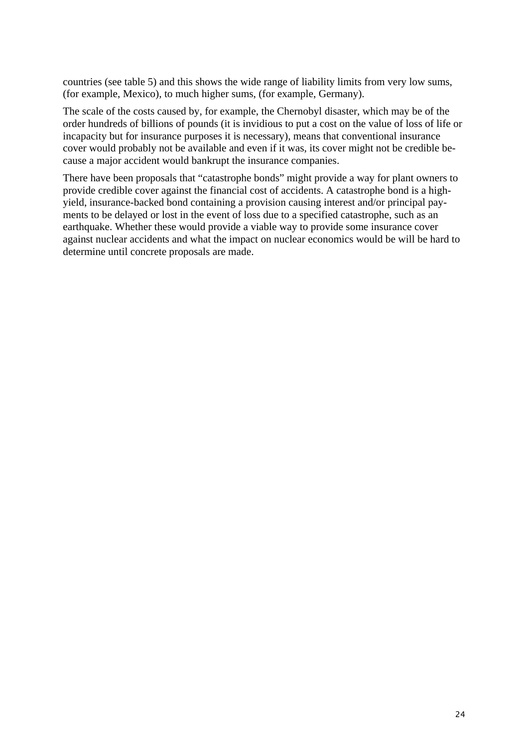countries (see table 5) and this shows the wide range of liability limits from very low sums, (for example, Mexico), to much higher sums, (for example, Germany).

The scale of the costs caused by, for example, the Chernobyl disaster, which may be of the order hundreds of billions of pounds (it is invidious to put a cost on the value of loss of life or incapacity but for insurance purposes it is necessary), means that conventional insurance cover would probably not be available and even if it was, its cover might not be credible because a major accident would bankrupt the insurance companies.

There have been proposals that "catastrophe bonds" might provide a way for plant owners to provide credible cover against the financial cost of accidents. A catastrophe bond is a highyield, insurance-backed bond containing a provision causing interest and/or principal payments to be delayed or lost in the event of loss due to a specified catastrophe, such as an earthquake. Whether these would provide a viable way to provide some insurance cover against nuclear accidents and what the impact on nuclear economics would be will be hard to determine until concrete proposals are made.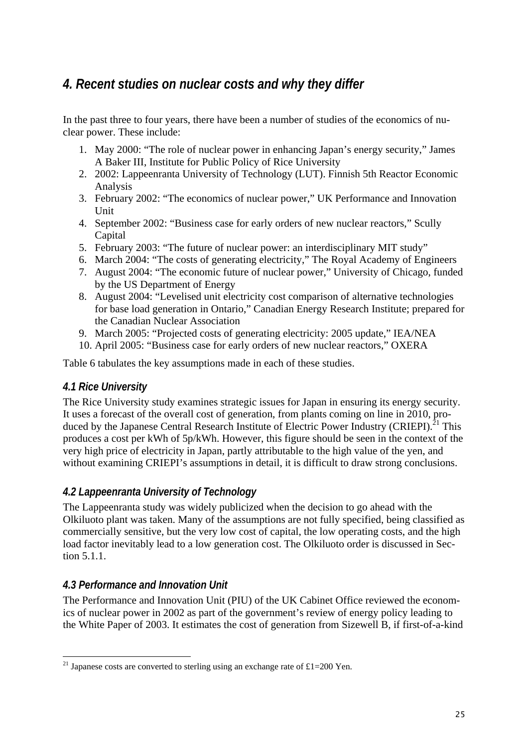## *4. Recent studies on nuclear costs and why they differ*

In the past three to four years, there have been a number of studies of the economics of nuclear power. These include:

- 1. May 2000: "The role of nuclear power in enhancing Japan's energy security," James A Baker III, Institute for Public Policy of Rice University
- 2. 2002: Lappeenranta University of Technology (LUT). Finnish 5th Reactor Economic Analysis
- 3. February 2002: "The economics of nuclear power," UK Performance and Innovation Unit
- 4. September 2002: "Business case for early orders of new nuclear reactors," Scully Capital
- 5. February 2003: "The future of nuclear power: an interdisciplinary MIT study"
- 6. March 2004: "The costs of generating electricity," The Royal Academy of Engineers
- 7. August 2004: "The economic future of nuclear power," University of Chicago, funded by the US Department of Energy
- 8. August 2004: "Levelised unit electricity cost comparison of alternative technologies for base load generation in Ontario," Canadian Energy Research Institute; prepared for the Canadian Nuclear Association
- 9. March 2005: "Projected costs of generating electricity: 2005 update," IEA/NEA
- 10. April 2005: "Business case for early orders of new nuclear reactors," OXERA

Table 6 tabulates the key assumptions made in each of these studies.

#### *4.1 Rice University*

The Rice University study examines strategic issues for Japan in ensuring its energy security. It uses a forecast of the overall cost of generation, from plants coming on line in 2010, produced by the Japanese Central Research Institute of Electric Power Industry (CRIEPI).<sup>21</sup> This produces a cost per kWh of 5p/kWh. However, this figure should be seen in the context of the very high price of electricity in Japan, partly attributable to the high value of the yen, and without examining CRIEPI's assumptions in detail, it is difficult to draw strong conclusions.

#### *4.2 Lappeenranta University of Technology*

The Lappeenranta study was widely publicized when the decision to go ahead with the Olkiluoto plant was taken. Many of the assumptions are not fully specified, being classified as commercially sensitive, but the very low cost of capital, the low operating costs, and the high load factor inevitably lead to a low generation cost. The Olkiluoto order is discussed in Section 5.1.1.

#### *4.3 Performance and Innovation Unit*

The Performance and Innovation Unit (PIU) of the UK Cabinet Office reviewed the economics of nuclear power in 2002 as part of the government's review of energy policy leading to the White Paper of 2003. It estimates the cost of generation from Sizewell B, if first-of-a-kind

l <sup>21</sup> Japanese costs are converted to sterling using an exchange rate of £1=200 Yen.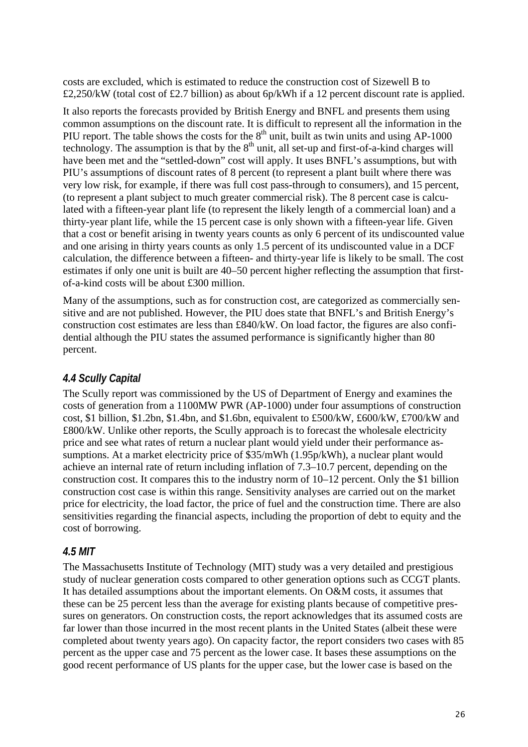costs are excluded, which is estimated to reduce the construction cost of Sizewell B to £2,250/kW (total cost of £2.7 billion) as about 6p/kWh if a 12 percent discount rate is applied.

It also reports the forecasts provided by British Energy and BNFL and presents them using common assumptions on the discount rate. It is difficult to represent all the information in the PIU report. The table shows the costs for the  $8<sup>th</sup>$  unit, built as twin units and using AP-1000 technology. The assumption is that by the  $8<sup>th</sup>$  unit, all set-up and first-of-a-kind charges will have been met and the "settled-down" cost will apply. It uses BNFL's assumptions, but with PIU's assumptions of discount rates of 8 percent (to represent a plant built where there was very low risk, for example, if there was full cost pass-through to consumers), and 15 percent, (to represent a plant subject to much greater commercial risk). The 8 percent case is calculated with a fifteen-year plant life (to represent the likely length of a commercial loan) and a thirty-year plant life, while the 15 percent case is only shown with a fifteen-year life. Given that a cost or benefit arising in twenty years counts as only 6 percent of its undiscounted value and one arising in thirty years counts as only 1.5 percent of its undiscounted value in a DCF calculation, the difference between a fifteen- and thirty-year life is likely to be small. The cost estimates if only one unit is built are 40–50 percent higher reflecting the assumption that firstof-a-kind costs will be about £300 million.

Many of the assumptions, such as for construction cost, are categorized as commercially sensitive and are not published. However, the PIU does state that BNFL's and British Energy's construction cost estimates are less than £840/kW. On load factor, the figures are also confidential although the PIU states the assumed performance is significantly higher than 80 percent.

#### *4.4 Scully Capital*

The Scully report was commissioned by the US of Department of Energy and examines the costs of generation from a 1100MW PWR (AP-1000) under four assumptions of construction cost, \$1 billion, \$1.2bn, \$1.4bn, and \$1.6bn, equivalent to  $\text{\pounds}500/\text{kW}$ ,  $\text{\pounds}600/\text{kW}$ ,  $\text{\pounds}700/\text{kW}$  and £800/kW. Unlike other reports, the Scully approach is to forecast the wholesale electricity price and see what rates of return a nuclear plant would yield under their performance assumptions. At a market electricity price of \$35/mWh (1.95p/kWh), a nuclear plant would achieve an internal rate of return including inflation of 7.3–10.7 percent, depending on the construction cost. It compares this to the industry norm of 10–12 percent. Only the \$1 billion construction cost case is within this range. Sensitivity analyses are carried out on the market price for electricity, the load factor, the price of fuel and the construction time. There are also sensitivities regarding the financial aspects, including the proportion of debt to equity and the cost of borrowing.

#### *4.5 MIT*

The Massachusetts Institute of Technology (MIT) study was a very detailed and prestigious study of nuclear generation costs compared to other generation options such as CCGT plants. It has detailed assumptions about the important elements. On O&M costs, it assumes that these can be 25 percent less than the average for existing plants because of competitive pressures on generators. On construction costs, the report acknowledges that its assumed costs are far lower than those incurred in the most recent plants in the United States (albeit these were completed about twenty years ago). On capacity factor, the report considers two cases with 85 percent as the upper case and 75 percent as the lower case. It bases these assumptions on the good recent performance of US plants for the upper case, but the lower case is based on the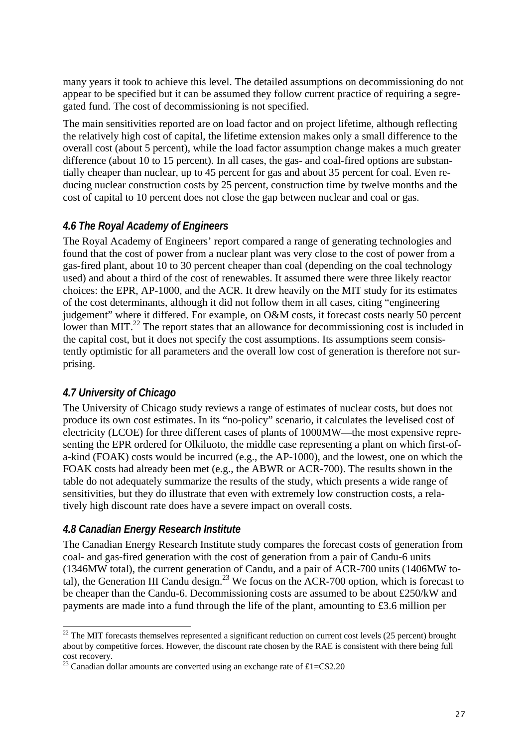many years it took to achieve this level. The detailed assumptions on decommissioning do not appear to be specified but it can be assumed they follow current practice of requiring a segregated fund. The cost of decommissioning is not specified.

The main sensitivities reported are on load factor and on project lifetime, although reflecting the relatively high cost of capital, the lifetime extension makes only a small difference to the overall cost (about 5 percent), while the load factor assumption change makes a much greater difference (about 10 to 15 percent). In all cases, the gas- and coal-fired options are substantially cheaper than nuclear, up to 45 percent for gas and about 35 percent for coal. Even reducing nuclear construction costs by 25 percent, construction time by twelve months and the cost of capital to 10 percent does not close the gap between nuclear and coal or gas.

#### *4.6 The Royal Academy of Engineers*

The Royal Academy of Engineers' report compared a range of generating technologies and found that the cost of power from a nuclear plant was very close to the cost of power from a gas-fired plant, about 10 to 30 percent cheaper than coal (depending on the coal technology used) and about a third of the cost of renewables. It assumed there were three likely reactor choices: the EPR, AP-1000, and the ACR. It drew heavily on the MIT study for its estimates of the cost determinants, although it did not follow them in all cases, citing "engineering judgement" where it differed. For example, on O&M costs, it forecast costs nearly 50 percent lower than MIT.<sup>22</sup> The report states that an allowance for decommissioning cost is included in the capital cost, but it does not specify the cost assumptions. Its assumptions seem consistently optimistic for all parameters and the overall low cost of generation is therefore not surprising.

#### *4.7 University of Chicago*

The University of Chicago study reviews a range of estimates of nuclear costs, but does not produce its own cost estimates. In its "no-policy" scenario, it calculates the levelised cost of electricity (LCOE) for three different cases of plants of 1000MW—the most expensive representing the EPR ordered for Olkiluoto, the middle case representing a plant on which first-ofa-kind (FOAK) costs would be incurred (e.g., the AP-1000), and the lowest, one on which the FOAK costs had already been met (e.g., the ABWR or ACR-700). The results shown in the table do not adequately summarize the results of the study, which presents a wide range of sensitivities, but they do illustrate that even with extremely low construction costs, a relatively high discount rate does have a severe impact on overall costs.

#### *4.8 Canadian Energy Research Institute*

The Canadian Energy Research Institute study compares the forecast costs of generation from coal- and gas-fired generation with the cost of generation from a pair of Candu-6 units (1346MW total), the current generation of Candu, and a pair of ACR-700 units (1406MW total), the Generation III Candu design.<sup>23</sup> We focus on the ACR-700 option, which is forecast to be cheaper than the Candu-6. Decommissioning costs are assumed to be about £250/kW and payments are made into a fund through the life of the plant, amounting to £3.6 million per

 $\overline{\phantom{a}}$  $^{22}$  The MIT forecasts themselves represented a significant reduction on current cost levels (25 percent) brought about by competitive forces. However, the discount rate chosen by the RAE is consistent with there being full cost recovery.

<sup>&</sup>lt;sup>23</sup> Canadian dollar amounts are converted using an exchange rate of £1=C\$2.20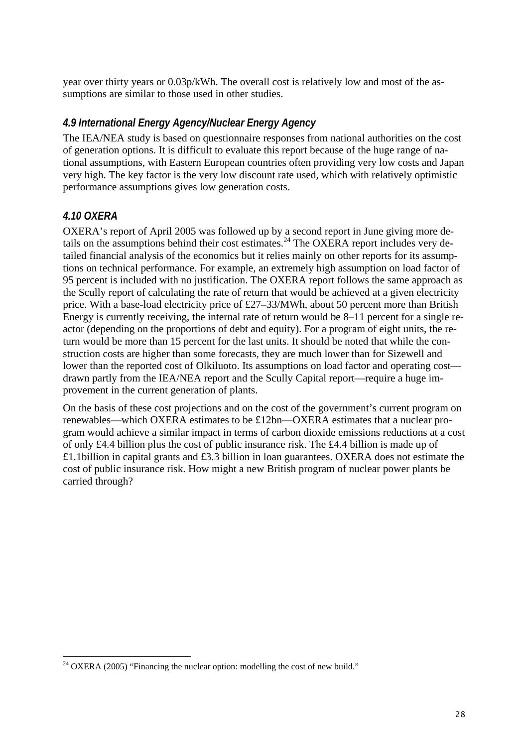year over thirty years or 0.03p/kWh. The overall cost is relatively low and most of the assumptions are similar to those used in other studies.

#### *4.9 International Energy Agency/Nuclear Energy Agency*

The IEA/NEA study is based on questionnaire responses from national authorities on the cost of generation options. It is difficult to evaluate this report because of the huge range of national assumptions, with Eastern European countries often providing very low costs and Japan very high. The key factor is the very low discount rate used, which with relatively optimistic performance assumptions gives low generation costs.

#### *4.10 OXERA*

OXERA's report of April 2005 was followed up by a second report in June giving more details on the assumptions behind their cost estimates.<sup>24</sup> The OXERA report includes very detailed financial analysis of the economics but it relies mainly on other reports for its assumptions on technical performance. For example, an extremely high assumption on load factor of 95 percent is included with no justification. The OXERA report follows the same approach as the Scully report of calculating the rate of return that would be achieved at a given electricity price. With a base-load electricity price of £27–33/MWh, about 50 percent more than British Energy is currently receiving, the internal rate of return would be 8–11 percent for a single reactor (depending on the proportions of debt and equity). For a program of eight units, the return would be more than 15 percent for the last units. It should be noted that while the construction costs are higher than some forecasts, they are much lower than for Sizewell and lower than the reported cost of Olkiluoto. Its assumptions on load factor and operating cost drawn partly from the IEA/NEA report and the Scully Capital report—require a huge improvement in the current generation of plants.

On the basis of these cost projections and on the cost of the government's current program on renewables—which OXERA estimates to be £12bn—OXERA estimates that a nuclear program would achieve a similar impact in terms of carbon dioxide emissions reductions at a cost of only £4.4 billion plus the cost of public insurance risk. The £4.4 billion is made up of £1.1billion in capital grants and £3.3 billion in loan guarantees. OXERA does not estimate the cost of public insurance risk. How might a new British program of nuclear power plants be carried through?

 $\overline{\phantom{a}}$ <sup>24</sup> OXERA (2005) "Financing the nuclear option: modelling the cost of new build."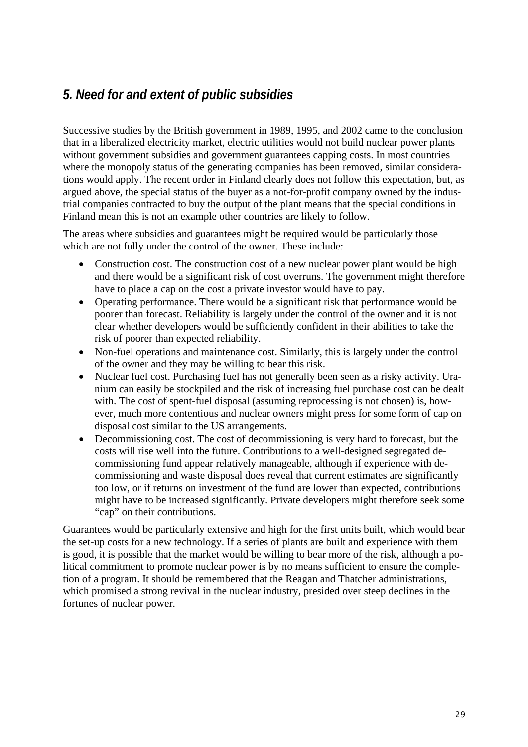## *5. Need for and extent of public subsidies*

Successive studies by the British government in 1989, 1995, and 2002 came to the conclusion that in a liberalized electricity market, electric utilities would not build nuclear power plants without government subsidies and government guarantees capping costs. In most countries where the monopoly status of the generating companies has been removed, similar considerations would apply. The recent order in Finland clearly does not follow this expectation, but, as argued above, the special status of the buyer as a not-for-profit company owned by the industrial companies contracted to buy the output of the plant means that the special conditions in Finland mean this is not an example other countries are likely to follow.

The areas where subsidies and guarantees might be required would be particularly those which are not fully under the control of the owner. These include:

- Construction cost. The construction cost of a new nuclear power plant would be high and there would be a significant risk of cost overruns. The government might therefore have to place a cap on the cost a private investor would have to pay.
- Operating performance. There would be a significant risk that performance would be poorer than forecast. Reliability is largely under the control of the owner and it is not clear whether developers would be sufficiently confident in their abilities to take the risk of poorer than expected reliability.
- Non-fuel operations and maintenance cost. Similarly, this is largely under the control of the owner and they may be willing to bear this risk.
- Nuclear fuel cost. Purchasing fuel has not generally been seen as a risky activity. Uranium can easily be stockpiled and the risk of increasing fuel purchase cost can be dealt with. The cost of spent-fuel disposal (assuming reprocessing is not chosen) is, however, much more contentious and nuclear owners might press for some form of cap on disposal cost similar to the US arrangements.
- Decommissioning cost. The cost of decommissioning is very hard to forecast, but the costs will rise well into the future. Contributions to a well-designed segregated decommissioning fund appear relatively manageable, although if experience with decommissioning and waste disposal does reveal that current estimates are significantly too low, or if returns on investment of the fund are lower than expected, contributions might have to be increased significantly. Private developers might therefore seek some "cap" on their contributions.

Guarantees would be particularly extensive and high for the first units built, which would bear the set-up costs for a new technology. If a series of plants are built and experience with them is good, it is possible that the market would be willing to bear more of the risk, although a political commitment to promote nuclear power is by no means sufficient to ensure the completion of a program. It should be remembered that the Reagan and Thatcher administrations, which promised a strong revival in the nuclear industry, presided over steep declines in the fortunes of nuclear power.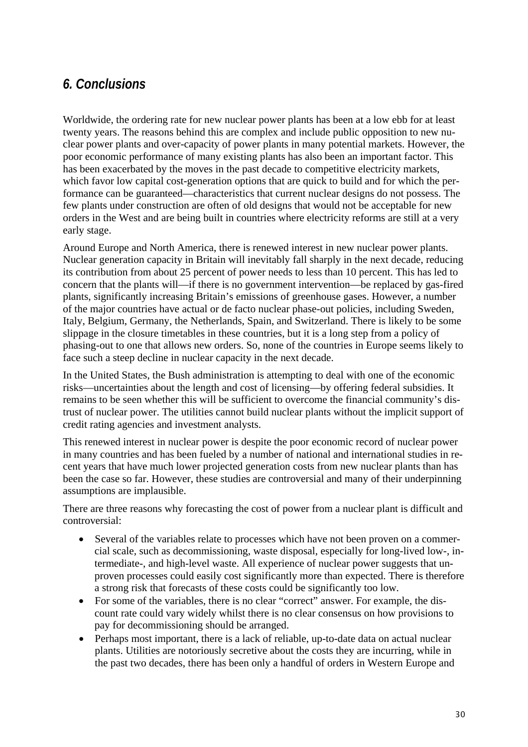## *6. Conclusions*

Worldwide, the ordering rate for new nuclear power plants has been at a low ebb for at least twenty years. The reasons behind this are complex and include public opposition to new nuclear power plants and over-capacity of power plants in many potential markets. However, the poor economic performance of many existing plants has also been an important factor. This has been exacerbated by the moves in the past decade to competitive electricity markets, which favor low capital cost-generation options that are quick to build and for which the performance can be guaranteed—characteristics that current nuclear designs do not possess. The few plants under construction are often of old designs that would not be acceptable for new orders in the West and are being built in countries where electricity reforms are still at a very early stage.

Around Europe and North America, there is renewed interest in new nuclear power plants. Nuclear generation capacity in Britain will inevitably fall sharply in the next decade, reducing its contribution from about 25 percent of power needs to less than 10 percent. This has led to concern that the plants will—if there is no government intervention—be replaced by gas-fired plants, significantly increasing Britain's emissions of greenhouse gases. However, a number of the major countries have actual or de facto nuclear phase-out policies, including Sweden, Italy, Belgium, Germany, the Netherlands, Spain, and Switzerland. There is likely to be some slippage in the closure timetables in these countries, but it is a long step from a policy of phasing-out to one that allows new orders. So, none of the countries in Europe seems likely to face such a steep decline in nuclear capacity in the next decade.

In the United States, the Bush administration is attempting to deal with one of the economic risks—uncertainties about the length and cost of licensing—by offering federal subsidies. It remains to be seen whether this will be sufficient to overcome the financial community's distrust of nuclear power. The utilities cannot build nuclear plants without the implicit support of credit rating agencies and investment analysts.

This renewed interest in nuclear power is despite the poor economic record of nuclear power in many countries and has been fueled by a number of national and international studies in recent years that have much lower projected generation costs from new nuclear plants than has been the case so far. However, these studies are controversial and many of their underpinning assumptions are implausible.

There are three reasons why forecasting the cost of power from a nuclear plant is difficult and controversial:

- Several of the variables relate to processes which have not been proven on a commercial scale, such as decommissioning, waste disposal, especially for long-lived low-, intermediate-, and high-level waste. All experience of nuclear power suggests that unproven processes could easily cost significantly more than expected. There is therefore a strong risk that forecasts of these costs could be significantly too low.
- For some of the variables, there is no clear "correct" answer. For example, the discount rate could vary widely whilst there is no clear consensus on how provisions to pay for decommissioning should be arranged.
- Perhaps most important, there is a lack of reliable, up-to-date data on actual nuclear plants. Utilities are notoriously secretive about the costs they are incurring, while in the past two decades, there has been only a handful of orders in Western Europe and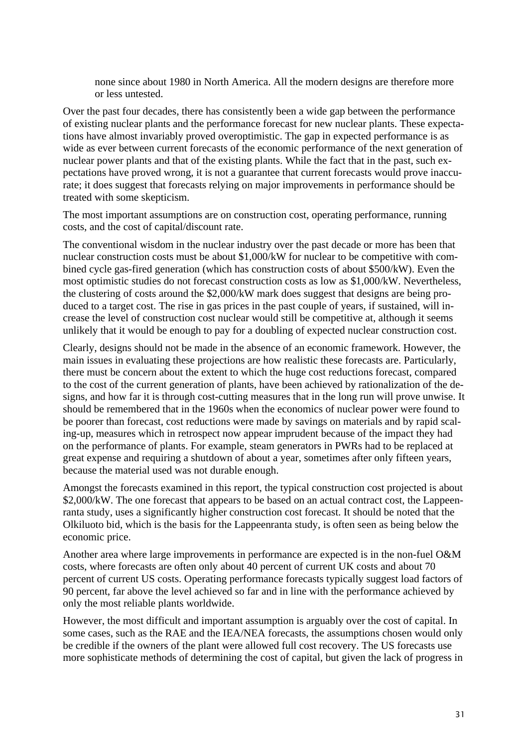none since about 1980 in North America. All the modern designs are therefore more or less untested.

Over the past four decades, there has consistently been a wide gap between the performance of existing nuclear plants and the performance forecast for new nuclear plants. These expectations have almost invariably proved overoptimistic. The gap in expected performance is as wide as ever between current forecasts of the economic performance of the next generation of nuclear power plants and that of the existing plants. While the fact that in the past, such expectations have proved wrong, it is not a guarantee that current forecasts would prove inaccurate; it does suggest that forecasts relying on major improvements in performance should be treated with some skepticism.

The most important assumptions are on construction cost, operating performance, running costs, and the cost of capital/discount rate.

The conventional wisdom in the nuclear industry over the past decade or more has been that nuclear construction costs must be about \$1,000/kW for nuclear to be competitive with combined cycle gas-fired generation (which has construction costs of about \$500/kW). Even the most optimistic studies do not forecast construction costs as low as \$1,000/kW. Nevertheless, the clustering of costs around the \$2,000/kW mark does suggest that designs are being produced to a target cost. The rise in gas prices in the past couple of years, if sustained, will increase the level of construction cost nuclear would still be competitive at, although it seems unlikely that it would be enough to pay for a doubling of expected nuclear construction cost.

Clearly, designs should not be made in the absence of an economic framework. However, the main issues in evaluating these projections are how realistic these forecasts are. Particularly, there must be concern about the extent to which the huge cost reductions forecast, compared to the cost of the current generation of plants, have been achieved by rationalization of the designs, and how far it is through cost-cutting measures that in the long run will prove unwise. It should be remembered that in the 1960s when the economics of nuclear power were found to be poorer than forecast, cost reductions were made by savings on materials and by rapid scaling-up, measures which in retrospect now appear imprudent because of the impact they had on the performance of plants. For example, steam generators in PWRs had to be replaced at great expense and requiring a shutdown of about a year, sometimes after only fifteen years, because the material used was not durable enough.

Amongst the forecasts examined in this report, the typical construction cost projected is about \$2,000/kW. The one forecast that appears to be based on an actual contract cost, the Lappeenranta study, uses a significantly higher construction cost forecast. It should be noted that the Olkiluoto bid, which is the basis for the Lappeenranta study, is often seen as being below the economic price.

Another area where large improvements in performance are expected is in the non-fuel O&M costs, where forecasts are often only about 40 percent of current UK costs and about 70 percent of current US costs. Operating performance forecasts typically suggest load factors of 90 percent, far above the level achieved so far and in line with the performance achieved by only the most reliable plants worldwide.

However, the most difficult and important assumption is arguably over the cost of capital. In some cases, such as the RAE and the IEA/NEA forecasts, the assumptions chosen would only be credible if the owners of the plant were allowed full cost recovery. The US forecasts use more sophisticate methods of determining the cost of capital, but given the lack of progress in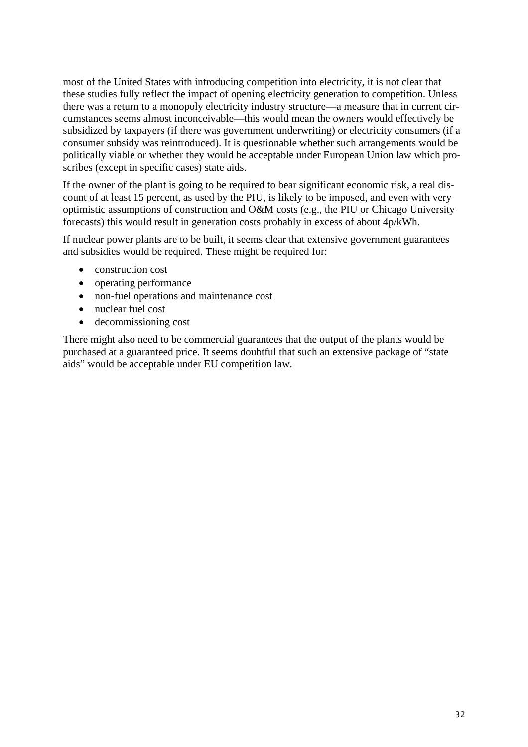most of the United States with introducing competition into electricity, it is not clear that these studies fully reflect the impact of opening electricity generation to competition. Unless there was a return to a monopoly electricity industry structure—a measure that in current circumstances seems almost inconceivable—this would mean the owners would effectively be subsidized by taxpayers (if there was government underwriting) or electricity consumers (if a consumer subsidy was reintroduced). It is questionable whether such arrangements would be politically viable or whether they would be acceptable under European Union law which proscribes (except in specific cases) state aids.

If the owner of the plant is going to be required to bear significant economic risk, a real discount of at least 15 percent, as used by the PIU, is likely to be imposed, and even with very optimistic assumptions of construction and O&M costs (e.g., the PIU or Chicago University forecasts) this would result in generation costs probably in excess of about 4p/kWh.

If nuclear power plants are to be built, it seems clear that extensive government guarantees and subsidies would be required. These might be required for:

- construction cost
- operating performance
- non-fuel operations and maintenance cost
- nuclear fuel cost
- decommissioning cost

There might also need to be commercial guarantees that the output of the plants would be purchased at a guaranteed price. It seems doubtful that such an extensive package of "state aids" would be acceptable under EU competition law.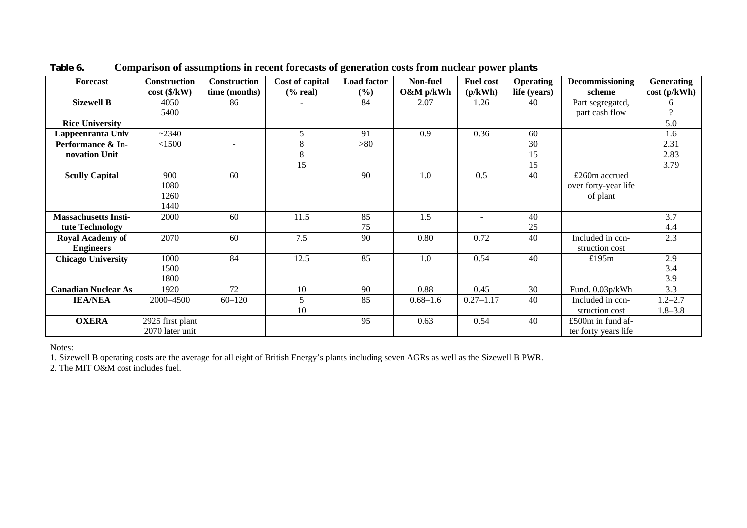| Forecast                    | <b>Construction</b>      | Construction  | Cost of capital | <b>Load factor</b> | Non-fuel     | <b>Fuel cost</b>         | <b>Operating</b> | Decommissioning      | <b>Generating</b> |
|-----------------------------|--------------------------|---------------|-----------------|--------------------|--------------|--------------------------|------------------|----------------------|-------------------|
|                             | $cost$ ( $\frac{K}{W}$ ) | time (months) | $(\%$ real)     | (9/0)              | $O\&M$ p/kWh | (p/kWh)                  | life (years)     | scheme               | cost(p/kWh)       |
| <b>Sizewell B</b>           | 4050                     | 86            |                 | 84                 | 2.07         | 1.26                     | 40               | Part segregated,     |                   |
|                             | 5400                     |               |                 |                    |              |                          |                  | part cash flow       |                   |
| <b>Rice University</b>      |                          |               |                 |                    |              |                          |                  |                      | 5.0               |
| Lappeenranta Univ           | ~2340                    |               | 5               | 91                 | 0.9          | 0.36                     | 60               |                      | 1.6               |
| Performance & In-           | < 1500                   |               | 8               | >80                |              |                          | 30               |                      | 2.31              |
| novation Unit               |                          |               | 8               |                    |              |                          | 15               |                      | 2.83              |
|                             |                          |               | 15              |                    |              |                          | 15               |                      | 3.79              |
| <b>Scully Capital</b>       | 900                      | 60            |                 | 90                 | 1.0          | 0.5                      | 40               | £260m accrued        |                   |
|                             | 1080                     |               |                 |                    |              |                          |                  | over forty-year life |                   |
|                             | 1260                     |               |                 |                    |              |                          |                  | of plant             |                   |
|                             | 1440                     |               |                 |                    |              |                          |                  |                      |                   |
| <b>Massachusetts Insti-</b> | 2000                     | 60            | 11.5            | 85                 | 1.5          | $\overline{\phantom{a}}$ | 40               |                      | 3.7               |
| tute Technology             |                          |               |                 | 75                 |              |                          | 25               |                      | 4.4               |
| <b>Royal Academy of</b>     | 2070                     | 60            | 7.5             | 90                 | 0.80         | 0.72                     | 40               | Included in con-     | 2.3               |
| <b>Engineers</b>            |                          |               |                 |                    |              |                          |                  | struction cost       |                   |
| <b>Chicago University</b>   | 1000                     | 84            | 12.5            | 85                 | 1.0          | 0.54                     | 40               | £195m                | 2.9               |
|                             | 1500                     |               |                 |                    |              |                          |                  |                      | 3.4               |
|                             | 1800                     |               |                 |                    |              |                          |                  |                      | 3.9               |
| <b>Canadian Nuclear As</b>  | 1920                     | 72            | 10              | 90                 | 0.88         | 0.45                     | 30               | Fund. 0.03p/kWh      | 3.3               |
| <b>IEA/NEA</b>              | 2000-4500                | $60 - 120$    | 5               | 85                 | $0.68 - 1.6$ | $0.27 - 1.17$            | 40               | Included in con-     | $1.2 - 2.7$       |
|                             |                          |               | 10              |                    |              |                          |                  | struction cost       | $1.8 - 3.8$       |
| <b>OXERA</b>                | 2925 first plant         |               |                 | 95                 | 0.63         | 0.54                     | 40               | £500 $m$ in fund af- |                   |
|                             | 2070 later unit          |               |                 |                    |              |                          |                  | ter forty years life |                   |

**Table 6. Comparison of assumptions in recent forecasts of generation costs from nuclear power plants** 

Notes:

1. Sizewell B operating costs are the average for all eight of British Energy's plants including seven AGRs as well as the Sizewell B PWR.

2. The MIT O&M cost includes fuel.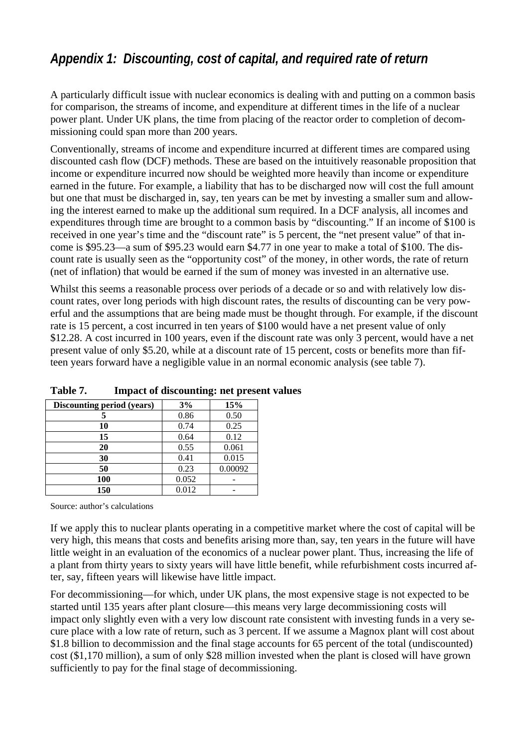## *Appendix 1: Discounting, cost of capital, and required rate of return*

A particularly difficult issue with nuclear economics is dealing with and putting on a common basis for comparison, the streams of income, and expenditure at different times in the life of a nuclear power plant. Under UK plans, the time from placing of the reactor order to completion of decommissioning could span more than 200 years.

Conventionally, streams of income and expenditure incurred at different times are compared using discounted cash flow (DCF) methods. These are based on the intuitively reasonable proposition that income or expenditure incurred now should be weighted more heavily than income or expenditure earned in the future. For example, a liability that has to be discharged now will cost the full amount but one that must be discharged in, say, ten years can be met by investing a smaller sum and allowing the interest earned to make up the additional sum required. In a DCF analysis, all incomes and expenditures through time are brought to a common basis by "discounting." If an income of \$100 is received in one year's time and the "discount rate" is 5 percent, the "net present value" of that income is \$95.23—a sum of \$95.23 would earn \$4.77 in one year to make a total of \$100. The discount rate is usually seen as the "opportunity cost" of the money, in other words, the rate of return (net of inflation) that would be earned if the sum of money was invested in an alternative use.

Whilst this seems a reasonable process over periods of a decade or so and with relatively low discount rates, over long periods with high discount rates, the results of discounting can be very powerful and the assumptions that are being made must be thought through. For example, if the discount rate is 15 percent, a cost incurred in ten years of \$100 would have a net present value of only \$12.28. A cost incurred in 100 years, even if the discount rate was only 3 percent, would have a net present value of only \$5.20, while at a discount rate of 15 percent, costs or benefits more than fifteen years forward have a negligible value in an normal economic analysis (see table 7).

| Discounting period (years) | 3%    | 15%     |
|----------------------------|-------|---------|
|                            | 0.86  | 0.50    |
| 10                         | 0.74  | 0.25    |
| 15                         | 0.64  | 0.12    |
| 20                         | 0.55  | 0.061   |
| 30                         | 0.41  | 0.015   |
| 50                         | 0.23  | 0.00092 |
| 100                        | 0.052 |         |
| 150                        | 0.012 |         |

**Table 7. Impact of discounting: net present values** 

Source: author's calculations

If we apply this to nuclear plants operating in a competitive market where the cost of capital will be very high, this means that costs and benefits arising more than, say, ten years in the future will have little weight in an evaluation of the economics of a nuclear power plant. Thus, increasing the life of a plant from thirty years to sixty years will have little benefit, while refurbishment costs incurred after, say, fifteen years will likewise have little impact.

For decommissioning—for which, under UK plans, the most expensive stage is not expected to be started until 135 years after plant closure—this means very large decommissioning costs will impact only slightly even with a very low discount rate consistent with investing funds in a very secure place with a low rate of return, such as 3 percent. If we assume a Magnox plant will cost about \$1.8 billion to decommission and the final stage accounts for 65 percent of the total (undiscounted) cost (\$1,170 million), a sum of only \$28 million invested when the plant is closed will have grown sufficiently to pay for the final stage of decommissioning.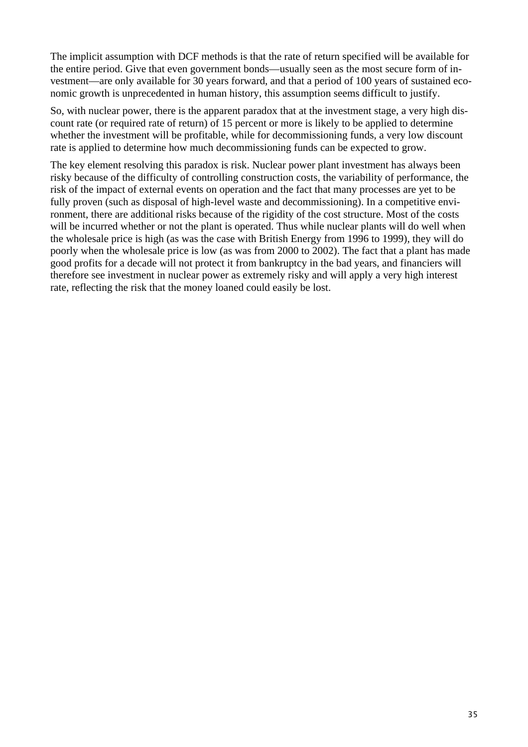The implicit assumption with DCF methods is that the rate of return specified will be available for the entire period. Give that even government bonds—usually seen as the most secure form of investment—are only available for 30 years forward, and that a period of 100 years of sustained economic growth is unprecedented in human history, this assumption seems difficult to justify.

So, with nuclear power, there is the apparent paradox that at the investment stage, a very high discount rate (or required rate of return) of 15 percent or more is likely to be applied to determine whether the investment will be profitable, while for decommissioning funds, a very low discount rate is applied to determine how much decommissioning funds can be expected to grow.

The key element resolving this paradox is risk. Nuclear power plant investment has always been risky because of the difficulty of controlling construction costs, the variability of performance, the risk of the impact of external events on operation and the fact that many processes are yet to be fully proven (such as disposal of high-level waste and decommissioning). In a competitive environment, there are additional risks because of the rigidity of the cost structure. Most of the costs will be incurred whether or not the plant is operated. Thus while nuclear plants will do well when the wholesale price is high (as was the case with British Energy from 1996 to 1999), they will do poorly when the wholesale price is low (as was from 2000 to 2002). The fact that a plant has made good profits for a decade will not protect it from bankruptcy in the bad years, and financiers will therefore see investment in nuclear power as extremely risky and will apply a very high interest rate, reflecting the risk that the money loaned could easily be lost.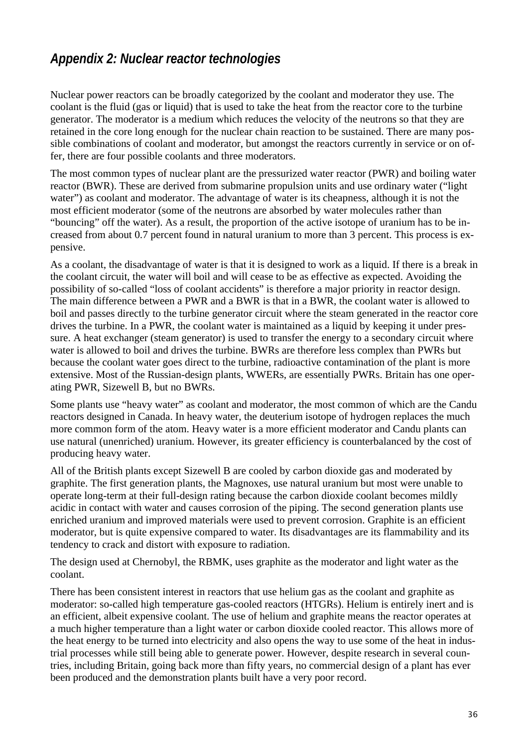## *Appendix 2: Nuclear reactor technologies*

Nuclear power reactors can be broadly categorized by the coolant and moderator they use. The coolant is the fluid (gas or liquid) that is used to take the heat from the reactor core to the turbine generator. The moderator is a medium which reduces the velocity of the neutrons so that they are retained in the core long enough for the nuclear chain reaction to be sustained. There are many possible combinations of coolant and moderator, but amongst the reactors currently in service or on offer, there are four possible coolants and three moderators.

The most common types of nuclear plant are the pressurized water reactor (PWR) and boiling water reactor (BWR). These are derived from submarine propulsion units and use ordinary water ("light water") as coolant and moderator. The advantage of water is its cheapness, although it is not the most efficient moderator (some of the neutrons are absorbed by water molecules rather than "bouncing" off the water). As a result, the proportion of the active isotope of uranium has to be increased from about 0.7 percent found in natural uranium to more than 3 percent. This process is expensive.

As a coolant, the disadvantage of water is that it is designed to work as a liquid. If there is a break in the coolant circuit, the water will boil and will cease to be as effective as expected. Avoiding the possibility of so-called "loss of coolant accidents" is therefore a major priority in reactor design. The main difference between a PWR and a BWR is that in a BWR, the coolant water is allowed to boil and passes directly to the turbine generator circuit where the steam generated in the reactor core drives the turbine. In a PWR, the coolant water is maintained as a liquid by keeping it under pressure. A heat exchanger (steam generator) is used to transfer the energy to a secondary circuit where water is allowed to boil and drives the turbine. BWRs are therefore less complex than PWRs but because the coolant water goes direct to the turbine, radioactive contamination of the plant is more extensive. Most of the Russian-design plants, WWERs, are essentially PWRs. Britain has one operating PWR, Sizewell B, but no BWRs.

Some plants use "heavy water" as coolant and moderator, the most common of which are the Candu reactors designed in Canada. In heavy water, the deuterium isotope of hydrogen replaces the much more common form of the atom. Heavy water is a more efficient moderator and Candu plants can use natural (unenriched) uranium. However, its greater efficiency is counterbalanced by the cost of producing heavy water.

All of the British plants except Sizewell B are cooled by carbon dioxide gas and moderated by graphite. The first generation plants, the Magnoxes, use natural uranium but most were unable to operate long-term at their full-design rating because the carbon dioxide coolant becomes mildly acidic in contact with water and causes corrosion of the piping. The second generation plants use enriched uranium and improved materials were used to prevent corrosion. Graphite is an efficient moderator, but is quite expensive compared to water. Its disadvantages are its flammability and its tendency to crack and distort with exposure to radiation.

The design used at Chernobyl, the RBMK, uses graphite as the moderator and light water as the coolant.

There has been consistent interest in reactors that use helium gas as the coolant and graphite as moderator: so-called high temperature gas-cooled reactors (HTGRs). Helium is entirely inert and is an efficient, albeit expensive coolant. The use of helium and graphite means the reactor operates at a much higher temperature than a light water or carbon dioxide cooled reactor. This allows more of the heat energy to be turned into electricity and also opens the way to use some of the heat in industrial processes while still being able to generate power. However, despite research in several countries, including Britain, going back more than fifty years, no commercial design of a plant has ever been produced and the demonstration plants built have a very poor record.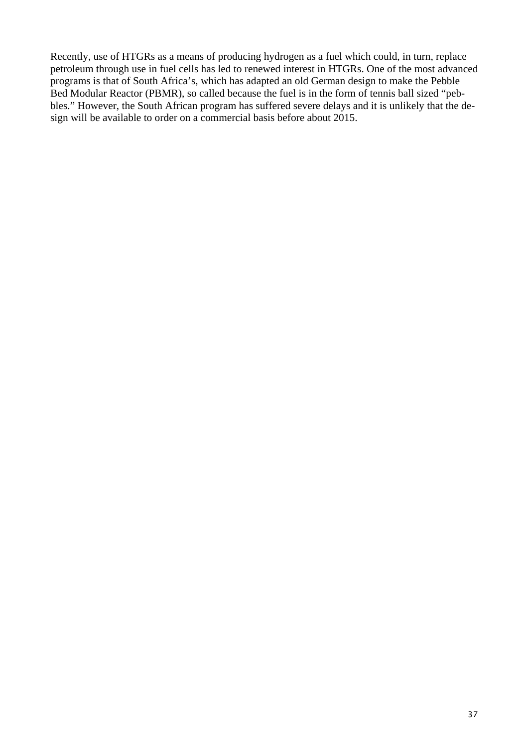Recently, use of HTGRs as a means of producing hydrogen as a fuel which could, in turn, replace petroleum through use in fuel cells has led to renewed interest in HTGRs. One of the most advanced programs is that of South Africa's, which has adapted an old German design to make the Pebble Bed Modular Reactor (PBMR), so called because the fuel is in the form of tennis ball sized "pebbles." However, the South African program has suffered severe delays and it is unlikely that the design will be available to order on a commercial basis before about 2015.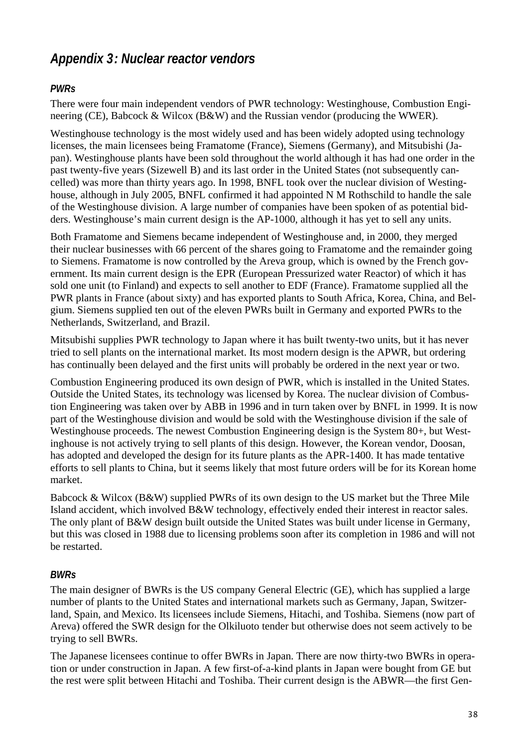## *Appendix 3 : Nuclear reactor vendors*

#### *PWRs*

There were four main independent vendors of PWR technology: Westinghouse, Combustion Engineering (CE), Babcock & Wilcox (B&W) and the Russian vendor (producing the WWER).

Westinghouse technology is the most widely used and has been widely adopted using technology licenses, the main licensees being Framatome (France), Siemens (Germany), and Mitsubishi (Japan). Westinghouse plants have been sold throughout the world although it has had one order in the past twenty-five years (Sizewell B) and its last order in the United States (not subsequently cancelled) was more than thirty years ago. In 1998, BNFL took over the nuclear division of Westinghouse, although in July 2005, BNFL confirmed it had appointed N M Rothschild to handle the sale of the Westinghouse division. A large number of companies have been spoken of as potential bidders. Westinghouse's main current design is the AP-1000, although it has yet to sell any units.

Both Framatome and Siemens became independent of Westinghouse and, in 2000, they merged their nuclear businesses with 66 percent of the shares going to Framatome and the remainder going to Siemens. Framatome is now controlled by the Areva group, which is owned by the French government. Its main current design is the EPR (European Pressurized water Reactor) of which it has sold one unit (to Finland) and expects to sell another to EDF (France). Framatome supplied all the PWR plants in France (about sixty) and has exported plants to South Africa, Korea, China, and Belgium. Siemens supplied ten out of the eleven PWRs built in Germany and exported PWRs to the Netherlands, Switzerland, and Brazil.

Mitsubishi supplies PWR technology to Japan where it has built twenty-two units, but it has never tried to sell plants on the international market. Its most modern design is the APWR, but ordering has continually been delayed and the first units will probably be ordered in the next year or two.

Combustion Engineering produced its own design of PWR, which is installed in the United States. Outside the United States, its technology was licensed by Korea. The nuclear division of Combustion Engineering was taken over by ABB in 1996 and in turn taken over by BNFL in 1999. It is now part of the Westinghouse division and would be sold with the Westinghouse division if the sale of Westinghouse proceeds. The newest Combustion Engineering design is the System 80+, but Westinghouse is not actively trying to sell plants of this design. However, the Korean vendor, Doosan, has adopted and developed the design for its future plants as the APR-1400. It has made tentative efforts to sell plants to China, but it seems likely that most future orders will be for its Korean home market.

Babcock & Wilcox (B&W) supplied PWRs of its own design to the US market but the Three Mile Island accident, which involved B&W technology, effectively ended their interest in reactor sales. The only plant of B&W design built outside the United States was built under license in Germany, but this was closed in 1988 due to licensing problems soon after its completion in 1986 and will not be restarted.

#### *BWRs*

The main designer of BWRs is the US company General Electric (GE), which has supplied a large number of plants to the United States and international markets such as Germany, Japan, Switzerland, Spain, and Mexico. Its licensees include Siemens, Hitachi, and Toshiba. Siemens (now part of Areva) offered the SWR design for the Olkiluoto tender but otherwise does not seem actively to be trying to sell BWRs.

The Japanese licensees continue to offer BWRs in Japan. There are now thirty-two BWRs in operation or under construction in Japan. A few first-of-a-kind plants in Japan were bought from GE but the rest were split between Hitachi and Toshiba. Their current design is the ABWR—the first Gen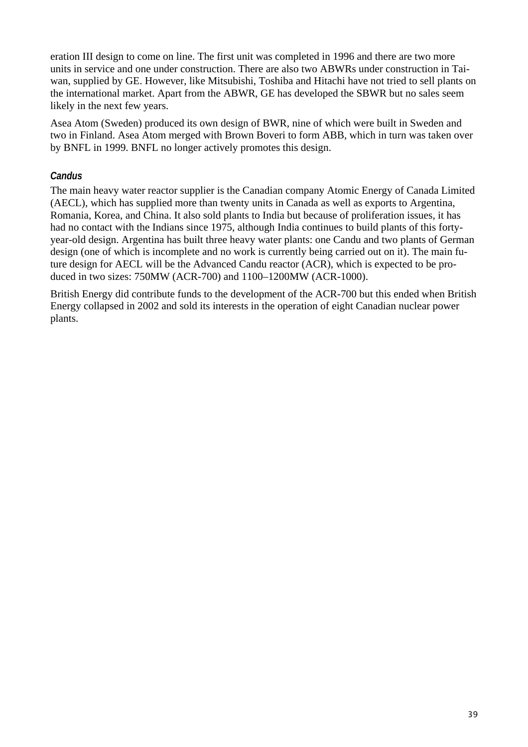eration III design to come on line. The first unit was completed in 1996 and there are two more units in service and one under construction. There are also two ABWRs under construction in Taiwan, supplied by GE. However, like Mitsubishi, Toshiba and Hitachi have not tried to sell plants on the international market. Apart from the ABWR, GE has developed the SBWR but no sales seem likely in the next few years.

Asea Atom (Sweden) produced its own design of BWR, nine of which were built in Sweden and two in Finland. Asea Atom merged with Brown Boveri to form ABB, which in turn was taken over by BNFL in 1999. BNFL no longer actively promotes this design.

#### *Candus*

The main heavy water reactor supplier is the Canadian company Atomic Energy of Canada Limited (AECL), which has supplied more than twenty units in Canada as well as exports to Argentina, Romania, Korea, and China. It also sold plants to India but because of proliferation issues, it has had no contact with the Indians since 1975, although India continues to build plants of this fortyyear-old design. Argentina has built three heavy water plants: one Candu and two plants of German design (one of which is incomplete and no work is currently being carried out on it). The main future design for AECL will be the Advanced Candu reactor (ACR), which is expected to be produced in two sizes: 750MW (ACR-700) and 1100–1200MW (ACR-1000).

British Energy did contribute funds to the development of the ACR-700 but this ended when British Energy collapsed in 2002 and sold its interests in the operation of eight Canadian nuclear power plants.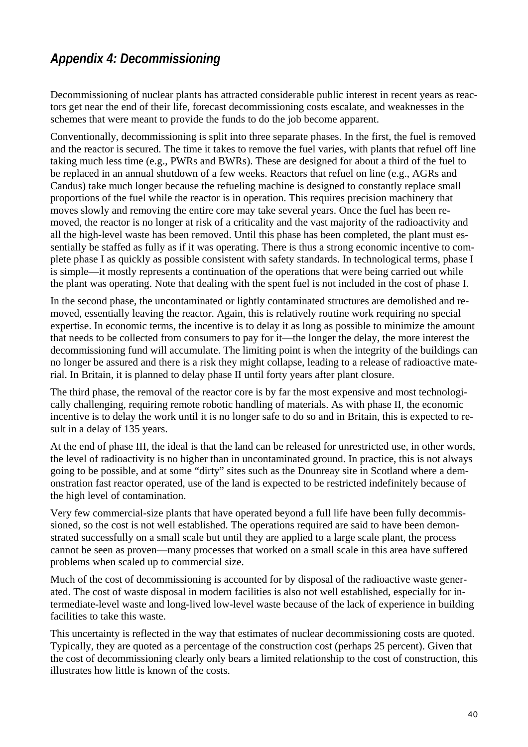## *Appendix 4: Decommissioning*

Decommissioning of nuclear plants has attracted considerable public interest in recent years as reactors get near the end of their life, forecast decommissioning costs escalate, and weaknesses in the schemes that were meant to provide the funds to do the job become apparent.

Conventionally, decommissioning is split into three separate phases. In the first, the fuel is removed and the reactor is secured. The time it takes to remove the fuel varies, with plants that refuel off line taking much less time (e.g., PWRs and BWRs). These are designed for about a third of the fuel to be replaced in an annual shutdown of a few weeks. Reactors that refuel on line (e.g., AGRs and Candus) take much longer because the refueling machine is designed to constantly replace small proportions of the fuel while the reactor is in operation. This requires precision machinery that moves slowly and removing the entire core may take several years. Once the fuel has been removed, the reactor is no longer at risk of a criticality and the vast majority of the radioactivity and all the high-level waste has been removed. Until this phase has been completed, the plant must essentially be staffed as fully as if it was operating. There is thus a strong economic incentive to complete phase I as quickly as possible consistent with safety standards. In technological terms, phase I is simple—it mostly represents a continuation of the operations that were being carried out while the plant was operating. Note that dealing with the spent fuel is not included in the cost of phase I.

In the second phase, the uncontaminated or lightly contaminated structures are demolished and removed, essentially leaving the reactor. Again, this is relatively routine work requiring no special expertise. In economic terms, the incentive is to delay it as long as possible to minimize the amount that needs to be collected from consumers to pay for it—the longer the delay, the more interest the decommissioning fund will accumulate. The limiting point is when the integrity of the buildings can no longer be assured and there is a risk they might collapse, leading to a release of radioactive material. In Britain, it is planned to delay phase II until forty years after plant closure.

The third phase, the removal of the reactor core is by far the most expensive and most technologically challenging, requiring remote robotic handling of materials. As with phase II, the economic incentive is to delay the work until it is no longer safe to do so and in Britain, this is expected to result in a delay of 135 years.

At the end of phase III, the ideal is that the land can be released for unrestricted use, in other words, the level of radioactivity is no higher than in uncontaminated ground. In practice, this is not always going to be possible, and at some "dirty" sites such as the Dounreay site in Scotland where a demonstration fast reactor operated, use of the land is expected to be restricted indefinitely because of the high level of contamination.

Very few commercial-size plants that have operated beyond a full life have been fully decommissioned, so the cost is not well established. The operations required are said to have been demonstrated successfully on a small scale but until they are applied to a large scale plant, the process cannot be seen as proven—many processes that worked on a small scale in this area have suffered problems when scaled up to commercial size.

Much of the cost of decommissioning is accounted for by disposal of the radioactive waste generated. The cost of waste disposal in modern facilities is also not well established, especially for intermediate-level waste and long-lived low-level waste because of the lack of experience in building facilities to take this waste.

This uncertainty is reflected in the way that estimates of nuclear decommissioning costs are quoted. Typically, they are quoted as a percentage of the construction cost (perhaps 25 percent). Given that the cost of decommissioning clearly only bears a limited relationship to the cost of construction, this illustrates how little is known of the costs.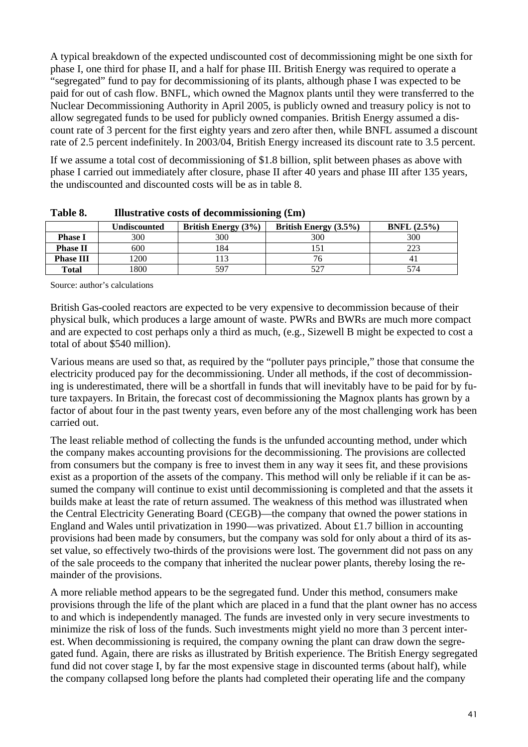A typical breakdown of the expected undiscounted cost of decommissioning might be one sixth for phase I, one third for phase II, and a half for phase III. British Energy was required to operate a "segregated" fund to pay for decommissioning of its plants, although phase I was expected to be paid for out of cash flow. BNFL, which owned the Magnox plants until they were transferred to the Nuclear Decommissioning Authority in April 2005, is publicly owned and treasury policy is not to allow segregated funds to be used for publicly owned companies. British Energy assumed a discount rate of 3 percent for the first eighty years and zero after then, while BNFL assumed a discount rate of 2.5 percent indefinitely. In 2003/04, British Energy increased its discount rate to 3.5 percent.

If we assume a total cost of decommissioning of \$1.8 billion, split between phases as above with phase I carried out immediately after closure, phase II after 40 years and phase III after 135 years, the undiscounted and discounted costs will be as in table 8.

|                  | Undiscounted | <b>British Energy</b> (3%) | British Energy $(3.5\%)$ | <b>BNFL</b> $(2.5\%)$ |
|------------------|--------------|----------------------------|--------------------------|-----------------------|
| <b>Phase I</b>   | 300          | 300                        | 300                      | 300                   |
| <b>Phase II</b>  | 600          | 184                        |                          | າາາ                   |
| <b>Phase III</b> | 1200         | 13                         |                          |                       |
| <b>Total</b>     | 800          | 597                        |                          | 574                   |

**Table 8. Illustrative costs of decommissioning (£m)** 

Source: author's calculations

British Gas-cooled reactors are expected to be very expensive to decommission because of their physical bulk, which produces a large amount of waste. PWRs and BWRs are much more compact and are expected to cost perhaps only a third as much, (e.g., Sizewell B might be expected to cost a total of about \$540 million).

Various means are used so that, as required by the "polluter pays principle," those that consume the electricity produced pay for the decommissioning. Under all methods, if the cost of decommissioning is underestimated, there will be a shortfall in funds that will inevitably have to be paid for by future taxpayers. In Britain, the forecast cost of decommissioning the Magnox plants has grown by a factor of about four in the past twenty years, even before any of the most challenging work has been carried out.

The least reliable method of collecting the funds is the unfunded accounting method, under which the company makes accounting provisions for the decommissioning. The provisions are collected from consumers but the company is free to invest them in any way it sees fit, and these provisions exist as a proportion of the assets of the company. This method will only be reliable if it can be assumed the company will continue to exist until decommissioning is completed and that the assets it builds make at least the rate of return assumed. The weakness of this method was illustrated when the Central Electricity Generating Board (CEGB)—the company that owned the power stations in England and Wales until privatization in 1990—was privatized. About £1.7 billion in accounting provisions had been made by consumers, but the company was sold for only about a third of its asset value, so effectively two-thirds of the provisions were lost. The government did not pass on any of the sale proceeds to the company that inherited the nuclear power plants, thereby losing the remainder of the provisions.

A more reliable method appears to be the segregated fund. Under this method, consumers make provisions through the life of the plant which are placed in a fund that the plant owner has no access to and which is independently managed. The funds are invested only in very secure investments to minimize the risk of loss of the funds. Such investments might yield no more than 3 percent interest. When decommissioning is required, the company owning the plant can draw down the segregated fund. Again, there are risks as illustrated by British experience. The British Energy segregated fund did not cover stage I, by far the most expensive stage in discounted terms (about half), while the company collapsed long before the plants had completed their operating life and the company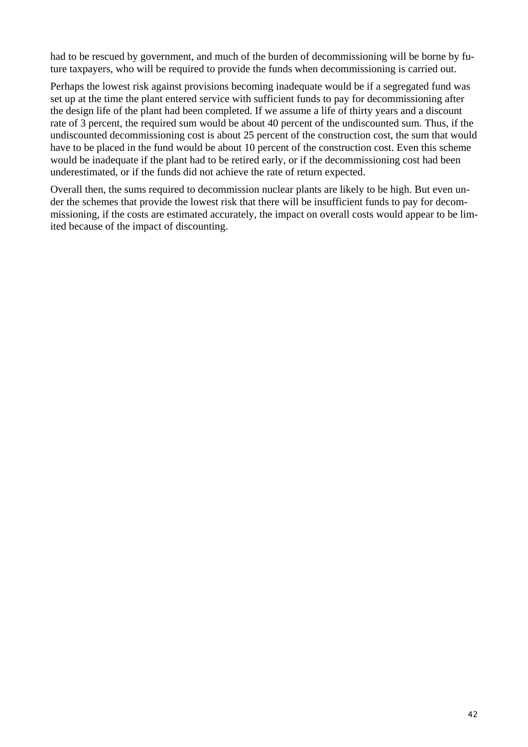had to be rescued by government, and much of the burden of decommissioning will be borne by future taxpayers, who will be required to provide the funds when decommissioning is carried out.

Perhaps the lowest risk against provisions becoming inadequate would be if a segregated fund was set up at the time the plant entered service with sufficient funds to pay for decommissioning after the design life of the plant had been completed. If we assume a life of thirty years and a discount rate of 3 percent, the required sum would be about 40 percent of the undiscounted sum. Thus, if the undiscounted decommissioning cost is about 25 percent of the construction cost, the sum that would have to be placed in the fund would be about 10 percent of the construction cost. Even this scheme would be inadequate if the plant had to be retired early, or if the decommissioning cost had been underestimated, or if the funds did not achieve the rate of return expected.

Overall then, the sums required to decommission nuclear plants are likely to be high. But even under the schemes that provide the lowest risk that there will be insufficient funds to pay for decommissioning, if the costs are estimated accurately, the impact on overall costs would appear to be limited because of the impact of discounting.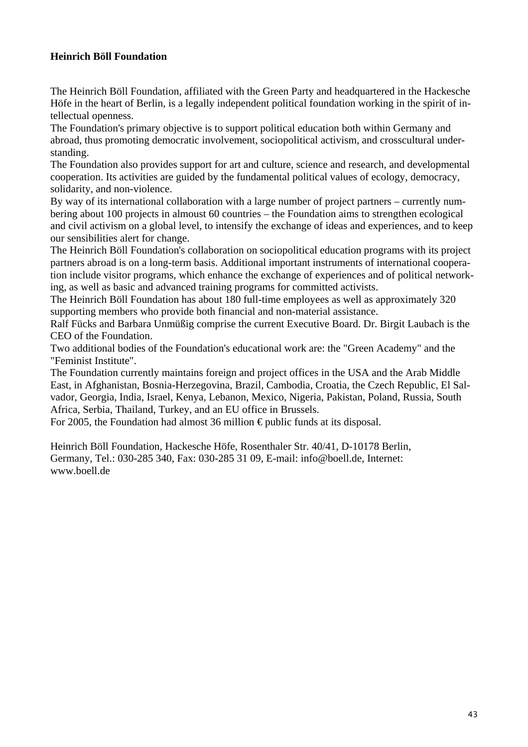#### **Heinrich Böll Foundation**

The Heinrich Böll Foundation, affiliated with the Green Party and headquartered in the Hackesche Höfe in the heart of Berlin, is a legally independent political foundation working in the spirit of intellectual openness.

The Foundation's primary objective is to support political education both within Germany and abroad, thus promoting democratic involvement, sociopolitical activism, and crosscultural understanding.

The Foundation also provides support for art and culture, science and research, and developmental cooperation. Its activities are guided by the fundamental political values of ecology, democracy, solidarity, and non-violence.

By way of its international collaboration with a large number of project partners – currently numbering about 100 projects in almoust 60 countries – the Foundation aims to strengthen ecological and civil activism on a global level, to intensify the exchange of ideas and experiences, and to keep our sensibilities alert for change.

The Heinrich Böll Foundation's collaboration on sociopolitical education programs with its project partners abroad is on a long-term basis. Additional important instruments of international cooperation include visitor programs, which enhance the exchange of experiences and of political networking, as well as basic and advanced training programs for committed activists.

The Heinrich Böll Foundation has about 180 full-time employees as well as approximately 320 supporting members who provide both financial and non-material assistance.

Ralf Fücks and Barbara Unmüßig comprise the current Executive Board. Dr. Birgit Laubach is the CEO of the Foundation.

Two additional bodies of the Foundation's educational work are: the "Green Academy" and the "Feminist Institute".

The Foundation currently maintains foreign and project offices in the USA and the Arab Middle East, in Afghanistan, Bosnia-Herzegovina, Brazil, Cambodia, Croatia, the Czech Republic, El Salvador, Georgia, India, Israel, Kenya, Lebanon, Mexico, Nigeria, Pakistan, Poland, Russia, South Africa, Serbia, Thailand, Turkey, and an EU office in Brussels.

For 2005, the Foundation had almost 36 million  $\epsilon$  public funds at its disposal.

Heinrich Böll Foundation, Hackesche Höfe, Rosenthaler Str. 40/41, D-10178 Berlin, Germany, Tel.: 030-285 340, Fax: 030-285 31 09, E-mail: info@boell.de, Internet: www.boell.de